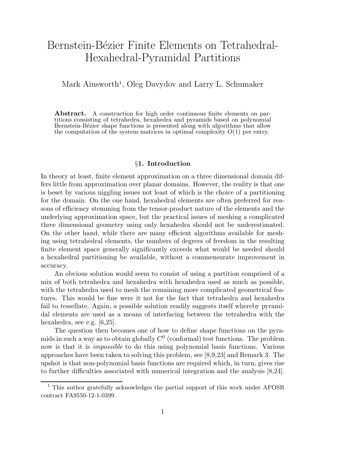# Bernstein-Bézier Finite Elements on Tetrahedral-Hexahedral-Pyramidal Partitions

Mark Ainsworth<sup>1</sup>, Oleg Davydov and Larry L. Schumaker

Abstract. A construction for high order continuous finite elements on partitions consisting of tetrahedra, hexahedra and pyramids based on polynomial Bernstein-Bézier shape functions is presented along with algorithms that allow the computation of the system matrices in optimal complexity  $O(1)$  per entry.

# §1. Introduction

In theory at least, finite element approximation on a three dimensional domain differs little from approximation over planar domains. However, the reality is that one is beset by various niggling issues not least of which is the choice of a partitioning for the domain. On the one hand, hexahedral elements are often preferred for reasons of efficiency stemming from the tensor-product nature of the elements and the underlying approximation space, but the practical issues of meshing a complicated three dimensional geometry using only hexahedra should not be underestimated. On the other hand, while there are many efficient algorithms available for meshing using tetrahedral elements, the numbers of degrees of freedom in the resulting finite element space generally significantly exceeds what would be needed should a hexahedral partitioning be available, without a commensurate improvement in accuracy.

An obvious solution would seem to consist of using a partition comprised of a mix of both tetrahedra and hexahedra with hexahedra used as much as possible, with the tetrahedra used to mesh the remaining more complicated geometrical features. This would be fine were it not for the fact that tetrahedra and hexahedra fail to tessellate. Again, a possible solution readily suggests itself whereby pyramidal elements are used as a means of interfacing between the tetrahedra with the hexahedra, see e.g. [6,25].

The question then becomes one of how to define shape functions on the pyramids in such a way as to obtain globally  $C^0$  (conformal) test functions. The problem now is that it is *impossible* to do this using polynomial basis functions. Various approaches have been taken to solving this problem, see [8,9,23] and Remark 3. The upshot is that non-polynomial basis functions are required which, in turn, gives rise to further difficulties associated with numerical integration and the analysis [8,24].

<sup>&</sup>lt;sup>1</sup> This author gratefully acknowledges the partial support of this work under AFOSR contract FA9550-12-1-0399.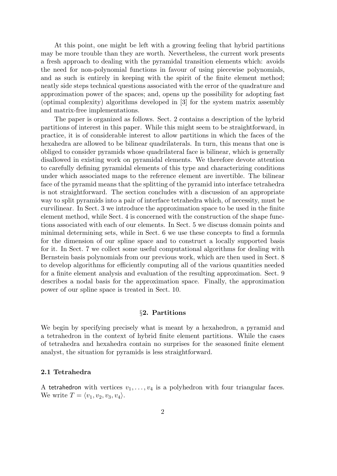At this point, one might be left with a growing feeling that hybrid partitions may be more trouble than they are worth. Nevertheless, the current work presents a fresh approach to dealing with the pyramidal transition elements which: avoids the need for non-polynomial functions in favour of using piecewise polynomials, and as such is entirely in keeping with the spirit of the finite element method; neatly side steps technical questions associated with the error of the quadrature and approximation power of the spaces; and, opens up the possibility for adopting fast (optimal complexity) algorithms developed in [3] for the system matrix assembly and matrix-free implementations.

The paper is organized as follows. Sect. 2 contains a description of the hybrid partitions of interest in this paper. While this might seem to be straightforward, in practice, it is of considerable interest to allow partitions in which the faces of the hexahedra are allowed to be bilinear quadrilaterals. In turn, this means that one is obliged to consider pyramids whose quadrilateral face is bilinear, which is generally disallowed in existing work on pyramidal elements. We therefore devote attention to carefully defining pyramidal elements of this type and characterizing conditions under which associated maps to the reference element are invertible. The bilinear face of the pyramid means that the splitting of the pyramid into interface tetrahedra is not straightforward. The section concludes with a discussion of an appropriate way to split pyramids into a pair of interface tetrahedra which, of necessity, must be curvilinear. In Sect. 3 we introduce the approximation space to be used in the finite element method, while Sect. 4 is concerned with the construction of the shape functions associated with each of our elements. In Sect. 5 we discuss domain points and minimal determining sets, while in Sect. 6 we use these concepts to find a formula for the dimension of our spline space and to construct a locally supported basis for it. In Sect. 7 we collect some useful computational algorithms for dealing with Bernstein basis polynomials from our previous work, which are then used in Sect. 8 to develop algorithms for efficiently computing all of the various quantities needed for a finite element analysis and evaluation of the resulting approximation. Sect. 9 describes a nodal basis for the approximation space. Finally, the approximation power of our spline space is treated in Sect. 10.

# §2. Partitions

We begin by specifying precisely what is meant by a hexahedron, a pyramid and a tetrahedron in the context of hybrid finite element partitions. While the cases of tetrahedra and hexahedra contain no surprises for the seasoned finite element analyst, the situation for pyramids is less straightforward.

# 2.1 Tetrahedra

A tetrahedron with vertices  $v_1, \ldots, v_4$  is a polyhedron with four triangular faces. We write  $T = \langle v_1, v_2, v_3, v_4 \rangle$ .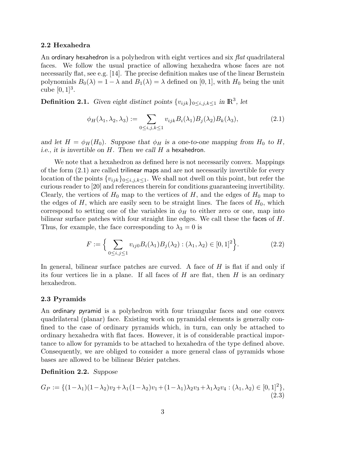### 2.2 Hexahedra

An ordinary hexahedron is a polyhedron with eight vertices and six flat quadrilateral faces. We follow the usual practice of allowing hexahedra whose faces are not necessarily flat, see e.g. [14]. The precise definition makes use of the linear Bernstein polynomials  $B_0(\lambda) = 1 - \lambda$  and  $B_1(\lambda) = \lambda$  defined on [0, 1], with  $H_0$  being the unit cube  $[0, 1]^3$ .

**Definition 2.1.** Given eight distinct points  $\{v_{ijk}\}_{0\le i,j,k\le 1}$  in  $\mathbb{R}^3$ , let

$$
\phi_H(\lambda_1, \lambda_2, \lambda_3) := \sum_{0 \le i,j,k \le 1} v_{ijk} B_i(\lambda_1) B_j(\lambda_2) B_k(\lambda_3), \tag{2.1}
$$

and let  $H = \phi_H(H_0)$ . Suppose that  $\phi_H$  is a one-to-one mapping from  $H_0$  to H, i.e., it is invertible on  $H$ . Then we call  $H$  a hexahedron.

We note that a hexahedron as defined here is not necessarily convex. Mappings of the form (2.1) are called trilinear maps and are not necessarily invertible for every location of the points  ${v_{ijk}}_{0\leq i,j,k\leq 1}$ . We shall not dwell on this point, but refer the curious reader to [20] and references therein for conditions guaranteeing invertibility. Clearly, the vertices of  $H_0$  map to the vertices of H, and the edges of  $H_0$  map to the edges of  $H$ , which are easily seen to be straight lines. The faces of  $H_0$ , which correspond to setting one of the variables in  $\phi_H$  to either zero or one, map into bilinear surface patches with four straight line edges. We call these the faces of H. Thus, for example, the face corresponding to  $\lambda_3 = 0$  is

$$
F := \Big\{ \sum_{0 \le i,j \le 1} v_{ij0} B_i(\lambda_1) B_j(\lambda_2) : (\lambda_1, \lambda_2) \in [0,1]^2 \Big\}.
$$
 (2.2)

In general, bilinear surface patches are curved. A face of  $H$  is flat if and only if its four vertices lie in a plane. If all faces of  $H$  are flat, then  $H$  is an ordinary hexahedron.

# 2.3 Pyramids

An ordinary pyramid is a polyhedron with four triangular faces and one convex quadrilateral (planar) face. Existing work on pyramidal elements is generally confined to the case of ordinary pyramids which, in turn, can only be attached to ordinary hexahedra with flat faces. However, it is of considerable practical importance to allow for pyramids to be attached to hexahedra of the type defined above. Consequently, we are obliged to consider a more general class of pyramids whose bases are allowed to be bilinear Bézier patches.

# Definition 2.2. Suppose

$$
G_P := \{ (1 - \lambda_1)(1 - \lambda_2)v_2 + \lambda_1(1 - \lambda_2)v_1 + (1 - \lambda_1)\lambda_2v_3 + \lambda_1\lambda_2v_4 : (\lambda_1, \lambda_2) \in [0, 1]^2 \},
$$
\n(2.3)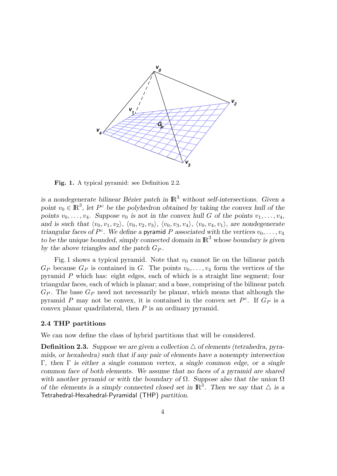

Fig. 1. A typical pyramid: see Definition 2.2.

is a nondegenerate bilinear Bézier patch in  $\mathbb{R}^3$  without self-intersections. Given a point  $v_0 \in \mathbb{R}^3$ , let  $P^c$  be the polyhedron obtained by taking the convex hull of the points  $v_0, \ldots, v_4$ . Suppose  $v_0$  is not in the convex hull G of the points  $v_1, \ldots, v_4$ , and is such that  $\langle v_0, v_1, v_2 \rangle$ ,  $\langle v_0, v_2, v_3 \rangle$ ,  $\langle v_0, v_3, v_4 \rangle$ ,  $\langle v_0, v_4, v_1 \rangle$ , are nondegenerate triangular faces of  $P^c$ . We define a pyramid P associated with the vertices  $v_0, \ldots, v_4$ to be the unique bounded, simply connected domain in  $\mathbb{R}^3$  whose boundary is given by the above triangles and the patch  $G_P$ .

Fig. 1 shows a typical pyramid. Note that  $v_0$  cannot lie on the bilinear patch  $G_P$  because  $G_P$  is contained in G. The points  $v_0, \ldots, v_4$  form the vertices of the pyramid P which has: eight edges, each of which is a straight line segment; four triangular faces, each of which is planar; and a base, comprising of the bilinear patch  $G_P$ . The base  $G_P$  need not necessarily be planar, which means that although the pyramid P may not be convex, it is contained in the convex set  $P^c$ . If  $G_P$  is a convex planar quadrilateral, then  $P$  is an ordinary pyramid.

# 2.4 THP partitions

We can now define the class of hybrid partitions that will be considered.

**Definition 2.3.** Suppose we are given a collection  $\triangle$  of elements (tetrahedra, pyramids, or hexahedra) such that if any pair of elements have a nonempty intersection Γ, then Γ is either a single common vertex, a single common edge, or a single common face of both elements. We assume that no faces of a pyramid are shared with another pyramid or with the boundary of  $\Omega$ . Suppose also that the union  $\Omega$ of the elements is a simply connected closed set in  $\mathbb{R}^3$ . Then we say that  $\triangle$  is a Tetrahedral-Hexahedral-Pyramidal (THP) partition.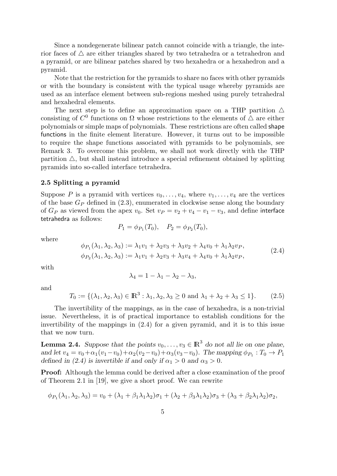Since a nondegenerate bilinear patch cannot coincide with a triangle, the interior faces of  $\triangle$  are either triangles shared by two tetrahedra or a tetrahedron and a pyramid, or are bilinear patches shared by two hexahedra or a hexahedron and a pyramid.

Note that the restriction for the pyramids to share no faces with other pyramids or with the boundary is consistent with the typical usage whereby pyramids are used as an interface element between sub-regions meshed using purely tetrahedral and hexahedral elements.

The next step is to define an approximation space on a THP partition  $\triangle$ consisting of  $C^0$  functions on  $\Omega$  whose restrictions to the elements of  $\Delta$  are either polynomials or simple maps of polynomials. These restrictions are often called shape functions in the finite element literature. However, it turns out to be impossible to require the shape functions associated with pyramids to be polynomials, see Remark 3. To overcome this problem, we shall not work directly with the THP partition  $\triangle$ , but shall instead introduce a special refinement obtained by splitting pyramids into so-called interface tetrahedra.

#### 2.5 Splitting a pyramid

Suppose P is a pyramid with vertices  $v_0, \ldots, v_4$ , where  $v_1, \ldots, v_4$  are the vertices of the base  $G_P$  defined in (2.3), enumerated in clockwise sense along the boundary of  $G_P$  as viewed from the apex  $v_0$ . Set  $v_P = v_2 + v_4 - v_1 - v_3$ , and define interface tetrahedra as follows:

$$
P_1 = \phi_{P_1}(T_0), \quad P_2 = \phi_{P_2}(T_0),
$$

where

$$
\phi_{P_1}(\lambda_1, \lambda_2, \lambda_3) := \lambda_1 v_1 + \lambda_2 v_3 + \lambda_3 v_2 + \lambda_4 v_0 + \lambda_1 \lambda_2 v_P,
$$
  
\n
$$
\phi_{P_2}(\lambda_1, \lambda_2, \lambda_3) := \lambda_1 v_1 + \lambda_2 v_3 + \lambda_3 v_4 + \lambda_4 v_0 + \lambda_1 \lambda_2 v_P,
$$
\n(2.4)

with

$$
\lambda_4 = 1 - \lambda_1 - \lambda_2 - \lambda_3,
$$

and

$$
T_0 := \{ (\lambda_1, \lambda_2, \lambda_3) \in \mathbb{R}^3 : \lambda_1, \lambda_2, \lambda_3 \ge 0 \text{ and } \lambda_1 + \lambda_2 + \lambda_3 \le 1 \}. \tag{2.5}
$$

The invertibility of the mappings, as in the case of hexahedra, is a non-trivial issue. Nevertheless, it is of practical importance to establish conditions for the invertibility of the mappings in (2.4) for a given pyramid, and it is to this issue that we now turn.

**Lemma 2.4.** Suppose that the points  $v_0, \ldots, v_3 \in \mathbb{R}^3$  do not all lie on one plane, and let  $v_4 = v_0 + \alpha_1(v_1 - v_0) + \alpha_2(v_2 - v_0) + \alpha_3(v_3 - v_0)$ . The mapping  $\phi_{P_1} : T_0 \to P_1$ defined in (2.4) is invertible if and only if  $\alpha_1 > 0$  and  $\alpha_3 > 0$ .

Proof: Although the lemma could be derived after a close examination of the proof of Theorem 2.1 in [19], we give a short proof. We can rewrite

$$
\phi_{P_1}(\lambda_1, \lambda_2, \lambda_3) = v_0 + (\lambda_1 + \beta_1 \lambda_1 \lambda_2) \sigma_1 + (\lambda_2 + \beta_3 \lambda_1 \lambda_2) \sigma_3 + (\lambda_3 + \beta_2 \lambda_1 \lambda_2) \sigma_2,
$$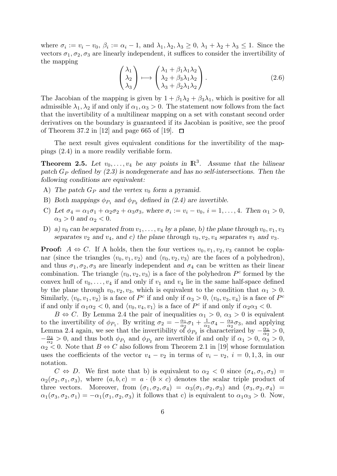where  $\sigma_i := v_i - v_0$ ,  $\beta_i := \alpha_i - 1$ , and  $\lambda_1, \lambda_2, \lambda_3 \geq 0$ ,  $\lambda_1 + \lambda_2 + \lambda_3 \leq 1$ . Since the vectors  $\sigma_1, \sigma_2, \sigma_3$  are linearly independent, it suffices to consider the invertibility of the mapping

$$
\begin{pmatrix} \lambda_1 \\ \lambda_2 \\ \lambda_3 \end{pmatrix} \longmapsto \begin{pmatrix} \lambda_1 + \beta_1 \lambda_1 \lambda_2 \\ \lambda_2 + \beta_3 \lambda_1 \lambda_2 \\ \lambda_3 + \beta_2 \lambda_1 \lambda_2 \end{pmatrix} . \tag{2.6}
$$

The Jacobian of the mapping is given by  $1 + \beta_1 \lambda_2 + \beta_3 \lambda_1$ , which is positive for all admissible  $\lambda_1, \lambda_2$  if and only if  $\alpha_1, \alpha_3 > 0$ . The statement now follows from the fact that the invertibility of a multilinear mapping on a set with constant second order derivatives on the boundary is guaranteed if its Jacobian is positive, see the proof of Theorem 37.2 in [12] and page 665 of [19].  $\Box$ 

The next result gives equivalent conditions for the invertibility of the mappings (2.4) in a more readily verifiable form.

**Theorem 2.5.** Let  $v_0, \ldots, v_4$  be any points in  $\mathbb{R}^3$ . Assume that the bilinear patch  $G_P$  defined by  $(2.3)$  is nondegenerate and has no self-intersections. Then the following conditions are equivalent:

- A) The patch  $G_P$  and the vertex  $v_0$  form a pyramid.
- B) Both mappings  $\phi_{P_1}$  and  $\phi_{P_2}$  defined in (2.4) are invertible.
- C) Let  $\sigma_4 = \alpha_1 \sigma_1 + \alpha_2 \sigma_2 + \alpha_3 \sigma_3$ , where  $\sigma_i := v_i v_0$ ,  $i = 1, \ldots, 4$ . Then  $\alpha_1 > 0$ ,  $\alpha_3 > 0$  and  $\alpha_2 < 0$ .
- D) a)  $v_0$  can be separated from  $v_1, \ldots, v_4$  by a plane, b) the plane through  $v_0, v_1, v_3$ separates  $v_2$  and  $v_4$ , and c) the plane through  $v_0, v_2, v_4$  separates  $v_1$  and  $v_3$ .

**Proof:**  $A \Leftrightarrow C$ . If A holds, then the four vertices  $v_0, v_1, v_2, v_3$  cannot be coplanar (since the triangles  $\langle v_0, v_1, v_2 \rangle$  and  $\langle v_0, v_2, v_3 \rangle$  are the faces of a polyhedron), and thus  $\sigma_1, \sigma_2, \sigma_3$  are linearly independent and  $\sigma_4$  can be written as their linear combination. The triangle  $\langle v_0, v_2, v_3 \rangle$  is a face of the polyhedron  $P^c$  formed by the convex hull of  $v_0, \ldots, v_4$  if and only if  $v_1$  and  $v_4$  lie in the same half-space defined by the plane through  $v_0, v_2, v_3$ , which is equivalent to the condition that  $\alpha_1 > 0$ . Similarly,  $\langle v_0, v_1, v_2 \rangle$  is a face of P<sup>c</sup> if and only if  $\alpha_3 > 0$ ,  $\langle v_0, v_3, v_4 \rangle$  is a face of P<sup>c</sup> if and only if  $\alpha_1 \alpha_2 < 0$ , and  $\langle v_0, v_4, v_1 \rangle$  is a face of  $P^c$  if and only if  $\alpha_2 \alpha_3 < 0$ .

 $B \Leftrightarrow C$ . By Lemma 2.4 the pair of inequalities  $\alpha_1 > 0$ ,  $\alpha_3 > 0$  is equivalent to the invertibility of  $\phi_{P_1}$ . By writing  $\sigma_2 = -\frac{\alpha_1}{\alpha_2}$  $\frac{\alpha_1}{\alpha_2}\sigma_1+\frac{1}{\alpha_2}$  $\frac{1}{\alpha_2}\sigma_4-\frac{\alpha_3}{\alpha_2}$  $\frac{\alpha_3}{\alpha_2}\sigma_3$ , and applying Lemma 2.4 again, we see that the invertibility of  $\phi_{P_2}$  is characterized by  $-\frac{\alpha_1}{\alpha_2}$  $\frac{\alpha_1}{\alpha_2} > 0,$  $-\frac{\alpha_3}{\alpha_2}$  $\frac{\alpha_3}{\alpha_2} > 0$ , and thus both  $\phi_{P_1}$  and  $\phi_{P_2}$  are invertible if and only if  $\alpha_1 > 0$ ,  $\alpha_3 > 0$ ,  $\alpha_2$  < 0. Note that  $B \Leftrightarrow C$  also follows from Theorem 2.1 in [19] whose formulation uses the coefficients of the vector  $v_4 - v_2$  in terms of  $v_i - v_2$ ,  $i = 0, 1, 3$ , in our notation.

 $C \Leftrightarrow D$ . We first note that b) is equivalent to  $\alpha_2 < 0$  since  $(\sigma_4, \sigma_1, \sigma_3)$  $\alpha_2(\sigma_2, \sigma_1, \sigma_3)$ , where  $(a, b, c) = a \cdot (b \times c)$  denotes the scalar triple product of three vectors. Moreover, from  $(\sigma_1, \sigma_2, \sigma_4) = \alpha_3(\sigma_1, \sigma_2, \sigma_3)$  and  $(\sigma_3, \sigma_2, \sigma_4)$  $\alpha_1(\sigma_3, \sigma_2, \sigma_1) = -\alpha_1(\sigma_1, \sigma_2, \sigma_3)$  it follows that c) is equivalent to  $\alpha_1 \alpha_3 > 0$ . Now,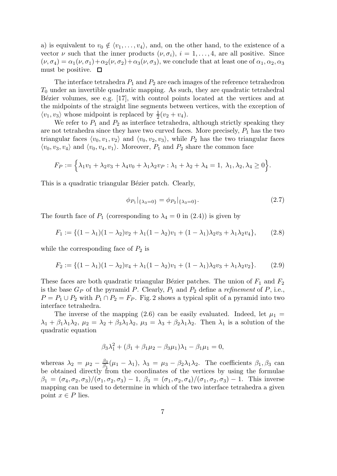a) is equivalent to  $v_0 \notin \langle v_1, \ldots, v_4 \rangle$ , and, on the other hand, to the existence of a vector  $\nu$  such that the inner products  $(\nu, \sigma_i)$ ,  $i = 1, \ldots, 4$ , are all positive. Since  $(\nu, \sigma_4) = \alpha_1(\nu, \sigma_1) + \alpha_2(\nu, \sigma_2) + \alpha_3(\nu, \sigma_3)$ , we conclude that at least one of  $\alpha_1, \alpha_2, \alpha_3$ must be positive.  $\Box$ 

The interface tetrahedra  $P_1$  and  $P_2$  are each images of the reference tetrahedron  $T_0$  under an invertible quadratic mapping. As such, they are quadratic tetrahedral Bézier volumes, see e.g. [17], with control points located at the vertices and at the midpoints of the straight line segments between vertices, with the exception of  $\langle v_1, v_3 \rangle$  whose midpoint is replaced by  $\frac{1}{2}(v_2 + v_4)$ .

We refer to  $P_1$  and  $P_2$  as interface tetrahedra, although strictly speaking they are not tetrahedra since they have two curved faces. More precisely,  $P_1$  has the two triangular faces  $\langle v_0, v_1, v_2 \rangle$  and  $\langle v_0, v_2, v_3 \rangle$ , while  $P_2$  has the two triangular faces  $\langle v_0, v_3, v_4 \rangle$  and  $\langle v_0, v_4, v_1 \rangle$ . Moreover,  $P_1$  and  $P_2$  share the common face

$$
F_P := \left\{ \lambda_1 v_1 + \lambda_2 v_3 + \lambda_4 v_0 + \lambda_1 \lambda_2 v_P : \lambda_1 + \lambda_2 + \lambda_4 = 1, \ \lambda_1, \lambda_2, \lambda_4 \ge 0 \right\}.
$$

This is a quadratic triangular Bézier patch. Clearly,

$$
\phi_{P_1} |_{\{\lambda_3 = 0\}} = \phi_{P_2} |_{\{\lambda_3 = 0\}}.\tag{2.7}
$$

The fourth face of  $P_1$  (corresponding to  $\lambda_4 = 0$  in (2.4)) is given by

$$
F_1 := \{ (1 - \lambda_1)(1 - \lambda_2)v_2 + \lambda_1(1 - \lambda_2)v_1 + (1 - \lambda_1)\lambda_2v_3 + \lambda_1\lambda_2v_4 \},\tag{2.8}
$$

while the corresponding face of  $P_2$  is

$$
F_2 := \{ (1 - \lambda_1)(1 - \lambda_2)v_4 + \lambda_1(1 - \lambda_2)v_1 + (1 - \lambda_1)\lambda_2v_3 + \lambda_1\lambda_2v_2 \}. \tag{2.9}
$$

These faces are both quadratic triangular Bézier patches. The union of  $F_1$  and  $F_2$ is the base  $G_P$  of the pyramid P. Clearly,  $P_1$  and  $P_2$  define a *refinement* of P, i.e.,  $P = P_1 \cup P_2$  with  $P_1 \cap P_2 = F_P$ . Fig. 2 shows a typical split of a pyramid into two interface tetrahedra.

The inverse of the mapping (2.6) can be easily evaluated. Indeed, let  $\mu_1$  =  $\lambda_1 + \beta_1 \lambda_1 \lambda_2$ ,  $\mu_2 = \lambda_2 + \beta_3 \lambda_1 \lambda_2$ ,  $\mu_3 = \lambda_3 + \beta_2 \lambda_1 \lambda_2$ . Then  $\lambda_1$  is a solution of the quadratic equation

$$
\beta_3 \lambda_1^2 + (\beta_1 + \beta_1 \mu_2 - \beta_3 \mu_1) \lambda_1 - \beta_1 \mu_1 = 0,
$$

whereas  $\lambda_2 = \mu_2 - \frac{\beta_3}{\beta_1}$  $\frac{\beta_3}{\beta_1}(\mu_1 - \lambda_1), \lambda_3 = \mu_3 - \beta_2\lambda_1\lambda_2.$  The coefficients  $\beta_1, \beta_3$  can be obtained directly from the coordinates of the vertices by using the formulae  $\beta_1 = (\sigma_4, \sigma_2, \sigma_3)/(\sigma_1, \sigma_2, \sigma_3) - 1$ ,  $\beta_3 = (\sigma_1, \sigma_2, \sigma_4)/(\sigma_1, \sigma_2, \sigma_3) - 1$ . This inverse mapping can be used to determine in which of the two interface tetrahedra a given point  $x \in P$  lies.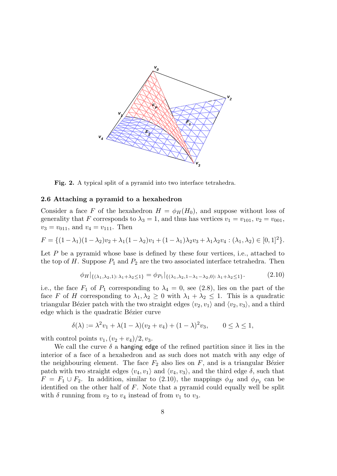

Fig. 2. A typical split of a pyramid into two interface tetrahedra.

### 2.6 Attaching a pyramid to a hexahedron

Consider a face F of the hexahedron  $H = \phi_H(H_0)$ , and suppose without loss of generality that F corresponds to  $\lambda_3 = 1$ , and thus has vertices  $v_1 = v_{101}$ ,  $v_2 = v_{001}$ ,  $v_3 = v_{011}$ , and  $v_4 = v_{111}$ . Then

$$
F = \{ (1 - \lambda_1)(1 - \lambda_2)v_2 + \lambda_1(1 - \lambda_2)v_1 + (1 - \lambda_1)\lambda_2v_3 + \lambda_1\lambda_2v_4 : (\lambda_1, \lambda_2) \in [0, 1]^2 \}.
$$

Let  $P$  be a pyramid whose base is defined by these four vertices, i.e., attached to the top of H. Suppose  $P_1$  and  $P_2$  are the two associated interface tetrahedra. Then

$$
\phi_H|_{\{(\lambda_1, \lambda_2, 1): \lambda_1 + \lambda_2 \le 1\}} = \phi_{P_1}|_{\{(\lambda_1, \lambda_2, 1 - \lambda_1 - \lambda_2, 0): \lambda_1 + \lambda_2 \le 1\}}.\tag{2.10}
$$

i.e., the face  $F_1$  of  $P_1$  corresponding to  $\lambda_4 = 0$ , see (2.8), lies on the part of the face F of H corresponding to  $\lambda_1, \lambda_2 \geq 0$  with  $\lambda_1 + \lambda_2 \leq 1$ . This is a quadratic triangular Bézier patch with the two straight edges  $\langle v_2, v_1 \rangle$  and  $\langle v_2, v_3 \rangle$ , and a third edge which is the quadratic Bézier curve

$$
\delta(\lambda) := \lambda^2 v_1 + \lambda (1 - \lambda)(v_2 + v_4) + (1 - \lambda)^2 v_3, \qquad 0 \le \lambda \le 1,
$$

with control points  $v_1$ ,  $(v_2 + v_4)/2$ ,  $v_3$ .

We call the curve  $\delta$  a hanging edge of the refined partition since it lies in the interior of a face of a hexahedron and as such does not match with any edge of the neighbouring element. The face  $F_2$  also lies on F, and is a triangular Bézier patch with two straight edges  $\langle v_4, v_1 \rangle$  and  $\langle v_4, v_3 \rangle$ , and the third edge  $\delta$ , such that  $F = F_1 \cup F_2$ . In addition, similar to (2.10), the mappings  $\phi_H$  and  $\phi_{P_2}$  can be identified on the other half of  $F$ . Note that a pyramid could equally well be split with  $\delta$  running from  $v_2$  to  $v_4$  instead of from  $v_1$  to  $v_3$ .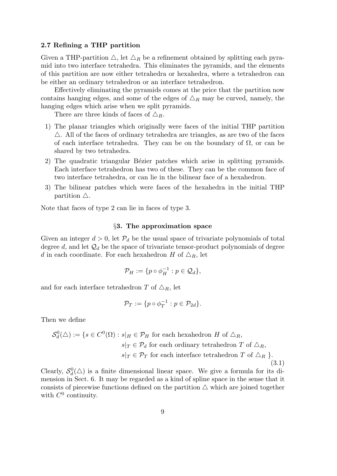# 2.7 Refining a THP partition

Given a THP-partition  $\triangle$ , let  $\triangle_R$  be a refinement obtained by splitting each pyramid into two interface tetrahedra. This eliminates the pyramids, and the elements of this partition are now either tetrahedra or hexahedra, where a tetrahedron can be either an ordinary tetrahedron or an interface tetrahedron.

Effectively eliminating the pyramids comes at the price that the partition now contains hanging edges, and some of the edges of  $\Delta_R$  may be curved, namely, the hanging edges which arise when we split pyramids.

There are three kinds of faces of  $\triangle_R$ .

- 1) The planar triangles which originally were faces of the initial THP partition  $\triangle$ . All of the faces of ordinary tetrahedra are triangles, as are two of the faces of each interface tetrahedra. They can be on the boundary of  $\Omega$ , or can be shared by two tetrahedra.
- 2) The quadratic triangular Bézier patches which arise in splitting pyramids. Each interface tetrahedron has two of these. They can be the common face of two interface tetrahedra, or can lie in the bilinear face of a hexahedron.
- 3) The bilinear patches which were faces of the hexahedra in the initial THP partition  $\triangle$ .

Note that faces of type 2 can lie in faces of type 3.

# §3. The approximation space

Given an integer  $d > 0$ , let  $P_d$  be the usual space of trivariate polynomials of total degree d, and let  $\mathcal{Q}_d$  be the space of trivariate tensor-product polynomials of degree d in each coordinate. For each hexahedron H of  $\Delta_R$ , let

$$
\mathcal{P}_H := \{ p \circ \phi_H^{-1} : p \in \mathcal{Q}_d \},
$$

and for each interface tetrahedron T of  $\Delta_R$ , let

$$
\mathcal{P}_T:=\{p\circ \phi_T^{-1}: p\in \mathcal{P}_{2d}\}.
$$

Then we define

$$
\mathcal{S}_d^0(\triangle) := \{ s \in C^0(\Omega) : s|_H \in \mathcal{P}_H \text{ for each hexahedron } H \text{ of } \triangle_R,
$$
  

$$
s|_T \in \mathcal{P}_d \text{ for each ordinary tetrahedron } T \text{ of } \triangle_R,
$$
  

$$
s|_T \in \mathcal{P}_T \text{ for each interface tetrahedron } T \text{ of } \triangle_R \}.
$$
  
(3.1)

Clearly,  $S_d^0(\triangle)$  is a finite dimensional linear space. We give a formula for its dimension in Sect. 6. It may be regarded as a kind of spline space in the sense that it consists of piecewise functions defined on the partition  $\triangle$  which are joined together with  $C^0$  continuity.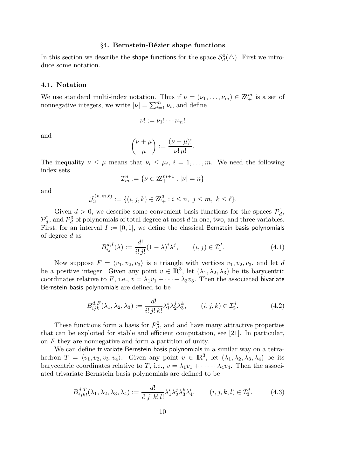# §4. Bernstein-Bézier shape functions

In this section we describe the shape functions for the space  $\mathcal{S}_d^0(\triangle).$  First we introduce some notation.

#### 4.1. Notation

We use standard multi-index notation. Thus if  $\nu = (\nu_1, \dots, \nu_m) \in \mathbb{Z}_+^m$  is a set of nonnegative integers, we write  $|\nu| = \sum_{i=1}^{m} \nu_i$ , and define

$$
\nu! := \nu_1! \cdots \nu_m!
$$

and

$$
\binom{\nu+\mu}{\mu} := \frac{(\nu+\mu)!}{\nu!\,\mu!}.
$$

The inequality  $\nu \leq \mu$  means that  $\nu_i \leq \mu_i$ ,  $i = 1, \ldots, m$ . We need the following index sets

$$
\mathcal{I}_m^n:=\{\nu\in\mathbb{Z}_+^{m+1}:|\nu|=n\}
$$

and

$$
\mathcal{J}_3^{(n,m,\ell)} := \{ (i,j,k) \in \mathbb{Z}_+^3 : i \le n, \ j \le m, \ k \le \ell \}.
$$

Given  $d > 0$ , we describe some convenient basis functions for the spaces  $\mathcal{P}_d^1$ ,  $\mathcal{P}_d^2$ , and  $\mathcal{P}_d^3$  of polynomials of total degree at most d in one, two, and three variables. First, for an interval  $I := [0, 1]$ , we define the classical Bernstein basis polynomials of degree d as

$$
B_{ij}^{d,I}(\lambda) := \frac{d!}{i! \, j!} (1 - \lambda)^i \lambda^j, \qquad (i, j) \in \mathcal{I}_1^d.
$$
 (4.1)

Now suppose  $F = \langle v_1, v_2, v_3 \rangle$  is a triangle with vertices  $v_1, v_2, v_3$ , and let d be a positive integer. Given any point  $v \in \mathbb{R}^3$ , let  $(\lambda_1, \lambda_2, \lambda_3)$  be its barycentric coordinates relative to F, i.e.,  $v = \lambda_1 v_1 + \cdots + \lambda_3 v_3$ . Then the associated bivariate Bernstein basis polynomials are defined to be

$$
B_{ijk}^{d,F}(\lambda_1, \lambda_2, \lambda_3) := \frac{d!}{i! \, j! \, k!} \lambda_1^i \lambda_2^j \lambda_3^k, \qquad (i, j, k) \in \mathcal{I}_2^d. \tag{4.2}
$$

These functions form a basis for  $\mathcal{P}_d^2$ , and and have many attractive properties that can be exploited for stable and efficient computation, see [21]. In particular, on F they are nonnegative and form a partition of unity.

We can define trivariate Bernstein basis polynomials in a similar way on a tetrahedron  $T = \langle v_1, v_2, v_3, v_4 \rangle$ . Given any point  $v \in \mathbb{R}^3$ , let  $(\lambda_1, \lambda_2, \lambda_3, \lambda_4)$  be its barycentric coordinates relative to T, i.e.,  $v = \lambda_1 v_1 + \cdots + \lambda_4 v_4$ . Then the associated trivariate Bernstein basis polynomials are defined to be

$$
B_{ijkl}^{d,T}(\lambda_1, \lambda_2, \lambda_3, \lambda_4) := \frac{d!}{i! \, j! \, k! \, l!} \lambda_1^i \lambda_2^j \lambda_3^k \lambda_4^l, \qquad (i, j, k, l) \in \mathcal{I}_3^d. \tag{4.3}
$$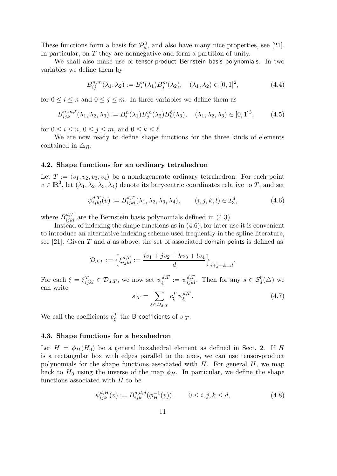These functions form a basis for  $\mathcal{P}_d^3$ , and also have many nice properties, see [21]. In particular, on T they are nonnegative and form a partition of unity.

We shall also make use of tensor-product Bernstein basis polynomials. In two variables we define them by

$$
B_{ij}^{n,m}(\lambda_1, \lambda_2) := B_i^n(\lambda_1) B_j^m(\lambda_2), \quad (\lambda_1, \lambda_2) \in [0, 1]^2,
$$
 (4.4)

for  $0 \leq i \leq n$  and  $0 \leq j \leq m$ . In three variables we define them as

$$
B_{ijk}^{n,m,\ell}(\lambda_1, \lambda_2, \lambda_3) := B_i^n(\lambda_1) B_j^m(\lambda_2) B_k^{\ell}(\lambda_3), \quad (\lambda_1, \lambda_2, \lambda_3) \in [0, 1]^3, \tag{4.5}
$$

for  $0 \leq i \leq n, 0 \leq j \leq m$ , and  $0 \leq k \leq \ell$ .

We are now ready to define shape functions for the three kinds of elements contained in  $\triangle_R$ .

## 4.2. Shape functions for an ordinary tetrahedron

Let  $T := \langle v_1, v_2, v_3, v_4 \rangle$  be a nondegenerate ordinary tetrahedron. For each point  $v \in \mathbb{R}^3$ , let  $(\lambda_1, \lambda_2, \lambda_3, \lambda_4)$  denote its barycentric coordinates relative to T, and set

$$
\psi_{ijkl}^{d,T}(v) := B_{ijkl}^{d,T}(\lambda_1, \lambda_2, \lambda_3, \lambda_4), \qquad (i, j, k, l) \in \mathcal{I}_3^d,
$$
\n
$$
(4.6)
$$

where  $B_{ijkl}^{d,T}$  are the Bernstein basis polynomials defined in (4.3).

Instead of indexing the shape functions as in (4.6), for later use it is convenient to introduce an alternative indexing scheme used frequently in the spline literature, see [21]. Given T and d as above, the set of associated domain points is defined as

$$
\mathcal{D}_{d,T}:=\Big\{\xi_{ijkl}^{d,T}:=\frac{iv_1+jv_2+kv_3+lv_4}{d}\Big\}_{i+j+k=d}.
$$

For each  $\xi = \xi_{ijkl}^T \in \mathcal{D}_{d,T}$ , we now set  $\psi_{\xi}^{d,T}$  $\epsilon^{d,T}_\xi := \psi_{ijkl}^{d,T}$ . Then for any  $s \in \mathcal{S}_d^0(\triangle)$  we can write

$$
s|_{T} = \sum_{\xi \in \mathcal{D}_{d,T}} c_{\xi}^{T} \psi_{\xi}^{d,T}.
$$
\n(4.7)

We call the coefficients  $c_{\xi}^{T}$  the B-coefficients of  $s|_{T}.$ 

### 4.3. Shape functions for a hexahedron

Let  $H = \phi_H(H_0)$  be a general hexahedral element as defined in Sect. 2. If H is a rectangular box with edges parallel to the axes, we can use tensor-product polynomials for the shape functions associated with  $H$ . For general  $H$ , we map back to  $H_0$  using the inverse of the map  $\phi_H$ . In particular, we define the shape functions associated with  $H$  to be

$$
\psi_{ijk}^{d,H}(v) := B_{ijk}^{d,d,d}(\phi_H^{-1}(v)), \qquad 0 \le i, j, k \le d,
$$
\n(4.8)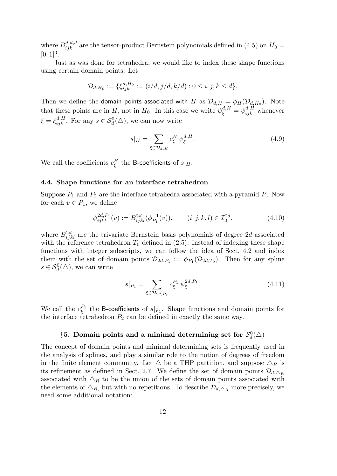where  $B_{ijk}^{d,d,d}$  are the tensor-product Bernstein polynomials defined in (4.5) on  $H_0 =$  $[0, 1]^3$ .

Just as was done for tetrahedra, we would like to index these shape functions using certain domain points. Let

$$
\mathcal{D}_{d,H_0} := \{ \xi_{ijk}^{d,H_0} := (i/d, j/d, k/d) : 0 \le i, j, k \le d \}.
$$

Then we define the **domain points associated with** H as  $\mathcal{D}_{d,H} = \phi_H(\mathcal{D}_{d,H_0})$ . Note that these points are in H, not in  $H_0$ . In this case we write  $\psi_{\xi}^{d,H} = \psi_{ijk}^{d,H}$  whenever  $\xi = \xi_{ijk}^{d,H}$ . For any  $s \in \mathcal{S}_d^0(\triangle)$ , we can now write

$$
s|_H = \sum_{\xi \in \mathcal{D}_{d,H}} c_{\xi}^H \, \psi_{\xi}^{d,H}.\tag{4.9}
$$

We call the coefficients  $c_{\xi}^{H}$  the B-coefficients of  $s|_{H}.$ 

# 4.4. Shape functions for an interface tetrahedron

Suppose  $P_1$  and  $P_2$  are the interface tetrahedra associated with a pyramid  $P$ . Now for each  $v \in P_1$ , we define

$$
\psi_{ijkl}^{2d,P_1}(v) := B_{ijkl}^{2d}(\phi_{P_1}^{-1}(v)), \qquad (i,j,k,l) \in \mathcal{I}_3^{2d}, \tag{4.10}
$$

where  $B_{ijkl}^{2d}$  are the trivariate Bernstein basis polynomials of degree 2d associated with the reference tetrahedron  $T_0$  defined in (2.5). Instead of indexing these shape functions with integer subscripts, we can follow the idea of Sect. 4.2 and index them with the set of domain points  $\mathcal{D}_{2d,P_1} := \phi_{P_1}(\mathcal{D}_{2d,T_0})$ . Then for any spline  $s \in \mathcal{S}_d^0(\triangle)$ , we can write

$$
s|_{P_1} = \sum_{\xi \in \mathcal{D}_{2d, P_1}} c_{\xi}^{P_1} \psi_{\xi}^{2d, P_1}.
$$
\n(4.11)

We call the  $c_{\varepsilon}^{P_1}$  $\zeta^{P_1}$  the B-coefficients of  $s|_{P_1}$ . Shape functions and domain points for the interface tetrahedron  $P_2$  can be defined in exactly the same way.

# $\S 5.$  Domain points and a minimal determining set for  $\mathcal{S}_d^0(\triangle)$

The concept of domain points and minimal determining sets is frequently used in the analysis of splines, and play a similar role to the notion of degrees of freedom in the finite element community. Let  $\Delta$  be a THP partition, and suppose  $\Delta_R$  is its refinement as defined in Sect. 2.7. We define the set of domain points  $\mathcal{D}_{d,\Delta_R}$ associated with  $\Delta_R$  to be the union of the sets of domain points associated with the elements of  $\Delta_R$ , but with no repetitions. To describe  $\mathcal{D}_{d,\Delta_R}$  more precisely, we need some additional notation: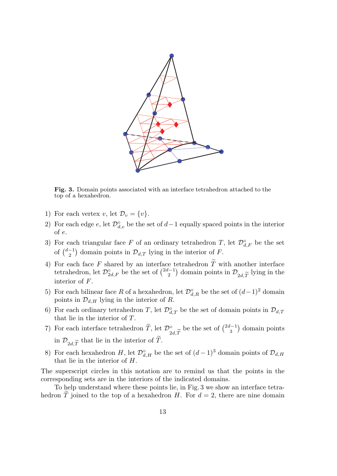

Fig. 3. Domain points associated with an interface tetrahedron attached to the top of a hexahedron.

- 1) For each vertex v, let  $\mathcal{D}_v = \{v\}.$
- 2) For each edge  $e$ , let  $\mathcal{D}^{\circ}_{d,e}$  be the set of  $d-1$  equally spaced points in the interior of e.
- 3) For each triangular face F of an ordinary tetrahedron T, let  $\mathcal{D}^{\circ}_{d,F}$  be the set of  $\binom{d-1}{2}$  $\mathcal{D}_{d,T}^{-1}$  domain points in  $\mathcal{D}_{d,T}$  lying in the interior of F.
- 4) For each face F shared by an interface tetrahedron T with another interface tetrahedron, let  $\mathcal{D}^{\circ}_{2d,F}$  be the set of  $\binom{2d-1}{2}$  $\binom{l-1}{2}$  domain points in  $\mathcal{D}_{2d,\widetilde{T}}$  lying in the interior of F.
- 5) For each bilinear face R of a hexahedron, let  $\mathcal{D}^{\circ}_{d,R}$  be the set of  $(d-1)^2$  domain points in  $\mathcal{D}_{d,H}$  lying in the interior of R.
- 6) For each ordinary tetrahedron T, let  $\mathcal{D}^{\circ}_{d,T}$  be the set of domain points in  $\mathcal{D}_{d,T}$ that lie in the interior of T.
- 7) For each interface tetrahedron  $\widetilde{T}$ , let  $\mathcal{D}_{2}^{\circ}$  $2d,T$ be the set of  $\binom{2d-1}{3}$  $\binom{l-1}{3}$  domain points in  $\mathcal{D}_{2d,\widetilde{T}}$  that lie in the interior of T.
- 8) For each hexahedron H, let  $\mathcal{D}^{\circ}_{d,H}$  be the set of  $(d-1)^3$  domain points of  $\mathcal{D}_{d,H}$ that lie in the interior of H.

The superscript circles in this notation are to remind us that the points in the corresponding sets are in the interiors of the indicated domains.

To help understand where these points lie, in Fig. 3 we show an interface tetrahedron T joined to the top of a hexahedron H. For  $d = 2$ , there are nine domain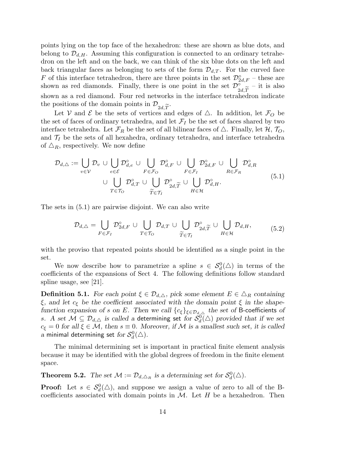points lying on the top face of the hexahedron: these are shown as blue dots, and belong to  $\mathcal{D}_{d,H}$ . Assuming this configuration is connected to an ordinary tetrahedron on the left and on the back, we can think of the six blue dots on the left and back triangular faces as belonging to sets of the form  $\mathcal{D}_{d,T}$ . For the curved face F of this interface tetrahedron, there are three points in the set  $\mathcal{D}^{\circ}_{2d,F}$  – these are shown as red diamonds. Finally, there is one point in the set  $\mathcal{D}_{\infty}^{\circ}$  $^{2d,T}_{\text{had}}$ – it is also shown as a red diamond. Four red networks in the interface tetrahedron indicate the positions of the domain points in  $\mathcal{D}_{2d,\widetilde{T}}$ .<br>Let V and  $\mathcal{E}$  be the sets of vertices and

Let V and E be the sets of vertices and edges of  $\triangle$ . In addition, let  $\mathcal{F}_O$  be the set of faces of ordinary tetrahedra, and let  $\mathcal{F}_I$  be the set of faces shared by two interface tetrahedra. Let  $\mathcal{F}_R$  be the set of all bilinear faces of  $\triangle$ . Finally, let  $\mathcal{H}, \mathcal{T}_O$ , and  $\mathcal{T}_I$  be the sets of all hexahedra, ordinary tetrahedra, and interface tetrahedra of  $\Delta_R$ , respectively. We now define

$$
\mathcal{D}_{d,\Delta} := \bigcup_{v \in \mathcal{V}} \mathcal{D}_v \cup \bigcup_{e \in \mathcal{E}} \mathcal{D}_{d,e}^{\circ} \cup \bigcup_{F \in \mathcal{F}_O} \mathcal{D}_{d,F}^{\circ} \cup \bigcup_{F \in \mathcal{F}_I} \mathcal{D}_{2d,F}^{\circ} \cup \bigcup_{R \in \mathcal{F}_R} \mathcal{D}_{d,R}^{\circ}
$$
\n
$$
\cup \bigcup_{T \in \mathcal{T}_O} \mathcal{D}_{d,T}^{\circ} \cup \bigcup_{\widetilde{T} \in \mathcal{T}_I} \mathcal{D}_{2d,\widetilde{T}}^{\circ} \cup \bigcup_{H \in \mathcal{H}} \mathcal{D}_{d,H}^{\circ}.
$$
\n
$$
(5.1)
$$

The sets in (5.1) are pairwise disjoint. We can also write

$$
\mathcal{D}_{d,\triangle} = \bigcup_{F \in \mathcal{F}_I} \mathcal{D}_{2d,F}^{\circ} \cup \bigcup_{T \in \mathcal{T}_O} \mathcal{D}_{d,T} \cup \bigcup_{\widetilde{T} \in \mathcal{T}_I} \mathcal{D}_{2d,\widetilde{T}}^{\circ} \cup \bigcup_{H \in \mathcal{H}} \mathcal{D}_{d,H},
$$
(5.2)

with the proviso that repeated points should be identified as a single point in the set.

We now describe how to parametrize a spline  $s \in S_d^0(\triangle)$  in terms of the coefficients of the expansions of Sect 4. The following definitions follow standard spline usage, see [21].

**Definition 5.1.** For each point  $\xi \in \mathcal{D}_{d,\Delta}$ , pick some element  $E \in \Delta_R$  containing  $\xi$ , and let  $c_{\xi}$  be the coefficient associated with the domain point  $\xi$  in the shapefunction expansion of s on E. Then we call  $\{c_{\xi}\}_{\xi \in \mathcal{D}_{d,\Delta}}$  the set of B-coefficients of s. A set  $\mathcal{M} \subseteq \mathcal{D}_{d,\triangle}$  is called a determining set for  $\mathcal{S}_d^0(\triangle)$  provided that if we set  $c_{\xi} = 0$  for all  $\xi \in \mathcal{M}$ , then  $s \equiv 0$ . Moreover, if M is a smallest such set, it is called  $a$  minimal determining set  $\mathit{for} \ \mathcal{S}_d^0(\triangle).$ 

The minimal determining set is important in practical finite element analysis because it may be identified with the global degrees of freedom in the finite element space.

**Theorem 5.2.** The set  $\mathcal{M} := \mathcal{D}_{d,\Delta_R}$  is a determining set for  $\mathcal{S}_d^0(\Delta)$ .

**Proof:** Let  $s \in S_d^0(\triangle)$ , and suppose we assign a value of zero to all of the Bcoefficients associated with domain points in  $M$ . Let H be a hexahedron. Then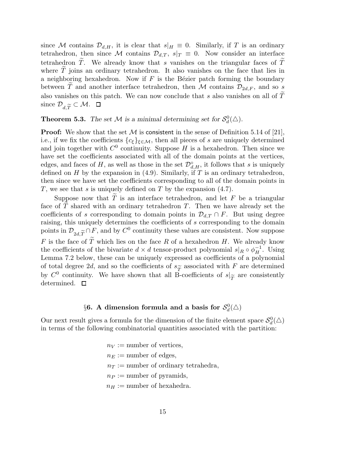since M contains  $\mathcal{D}_{d,H}$ , it is clear that  $s|_H \equiv 0$ . Similarly, if T is an ordinary tetrahedron, then since M contains  $\mathcal{D}_{d,T}$ ,  $s|_T \equiv 0$ . Now consider an interface tetrahedron  $\tilde{T}$ . We already know that s vanishes on the triangular faces of  $\tilde{T}$ where  $\tilde{T}$  joins an ordinary tetrahedron. It also vanishes on the face that lies in a neighboring hexahedron. Now if  $F$  is the Bézier patch forming the boundary between T and another interface tetrahedron, then M contains  $\mathcal{D}_{2d,F}$ , and so s also vanishes on this patch. We can now conclude that s also vanishes on all of  $T$ since  $\mathcal{D}_{d\widetilde{T}} \subset \mathcal{M}$ .  $\Box$ 

**Theorem 5.3.** The set M is a minimal determining set for  $S_d^0(\triangle)$ .

**Proof:** We show that the set  $M$  is consistent in the sense of Definition 5.14 of [21], i.e., if we fix the coefficients  ${c_{\xi}}_{\xi \in \mathcal{M}}$ , then all pieces of s are uniquely determined and join together with  $C^0$  continuity. Suppose H is a hexahedron. Then since we have set the coefficients associated with all of the domain points at the vertices, edges, and faces of H, as well as those in the set  $\mathcal{D}^{\circ}_{d,H}$ , it follows that s is uniquely defined on  $H$  by the expansion in (4.9). Similarly, if  $T$  is an ordinary tetrahedron, then since we have set the coefficients corresponding to all of the domain points in T, we see that s is uniquely defined on T by the expansion  $(4.7)$ .

Suppose now that  $\widetilde{T}$  is an interface tetrahedron, and let F be a triangular face of  $T$  shared with an ordinary tetrahedron  $T$ . Then we have already set the coefficients of s corresponding to domain points in  $\mathcal{D}_{d,T} \cap F$ . But using degree raising, this uniquely determines the coefficients of s corresponding to the domain points in  $\mathcal{D}_{2d,\widetilde{T}} \cap F$ , and by  $C^0$  continuity these values are consistent. Now suppose F is the face of  $\widetilde{T}$  which lies on the face R of a hexahedron H. We already know the coefficients of the bivariate  $d \times d$  tensor-product polynomial  $s|_R \circ \phi_H^{-1}$ . Using Lemma 7.2 below, these can be uniquely expressed as coefficients of a polynomial of total degree 2d, and so the coefficients of  $s_{\widetilde{\mathcal{T}}}$  associated with F are determined by  $C^0$  continuity. We have shown that all B-coefficients of  $s|_{\widetilde{T}}$  are consistently determined.  $\Box$ determined.  $\square$ 

# $\S 6.$  A dimension formula and a basis for  $\mathcal{S}_d^0(\triangle)$

Our next result gives a formula for the dimension of the finite element space  $\mathcal{S}_d^0(\triangle)$ in terms of the following combinatorial quantities associated with the partition:

> $n_V :=$  number of vertices,  $n_E :=$  number of edges,  $n_T :=$  number of ordinary tetrahedra,  $n_P :=$  number of pyramids,  $n_H :=$  number of hexahedra.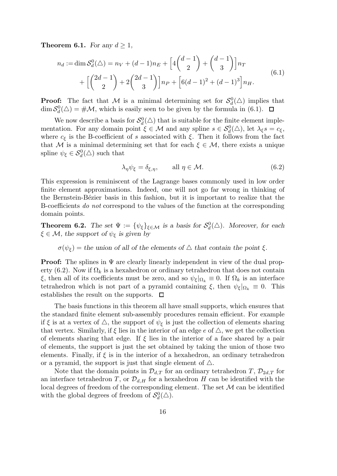**Theorem 6.1.** For any  $d \geq 1$ ,

$$
n_d := \dim \mathcal{S}_d^0(\triangle) = n_V + (d-1)n_E + \left[4\binom{d-1}{2} + \binom{d-1}{3}\right]n_T + \left[\binom{2d-1}{2} + 2\binom{2d-1}{3}\right]n_P + \left[6(d-1)^2 + (d-1)^3\right]n_H.
$$
\n(6.1)

**Proof:** The fact that M is a minimal determining set for  $\mathcal{S}_d^0(\triangle)$  implies that  $\dim \mathcal{S}_d^0(\triangle) = \# \mathcal{M}$ , which is easily seen to be given by the formula in (6.1).

We now describe a basis for  $\mathcal{S}_d^0(\triangle)$  that is suitable for the finite element implementation. For any domain point  $\xi \in \mathcal{M}$  and any spline  $s \in \mathcal{S}_d^0(\triangle)$ , let  $\lambda_{\xi} s = c_{\xi}$ , where  $c_{\xi}$  is the B-coefficient of s associated with  $\xi$ . Then it follows from the fact that M is a minimal determining set that for each  $\xi \in \mathcal{M}$ , there exists a unique spline  $\psi_{\xi} \in \mathcal{S}_d^0(\triangle)$  such that

$$
\lambda_{\eta} \psi_{\xi} = \delta_{\xi, \eta}, \qquad \text{all } \eta \in \mathcal{M}.
$$
\n(6.2)

This expression is reminiscent of the Lagrange bases commonly used in low order finite element approximations. Indeed, one will not go far wrong in thinking of the Bernstein-Bézier basis in this fashion, but it is important to realize that the B-coefficients do not correspond to the values of the function at the corresponding domain points.

**Theorem 6.2.** The set  $\Psi := {\psi_{\xi}}_{\xi \in \mathcal{M}}$  is a basis for  $\mathcal{S}_d^0(\triangle)$ . Moreover, for each  $\xi \in \mathcal{M}$ , the support of  $\psi_{\xi}$  is given by

# $\sigma(\psi_{\xi})$  = the union of all of the elements of  $\Delta$  that contain the point  $\xi$ .

**Proof:** The splines in  $\Psi$  are clearly linearly independent in view of the dual property (6.2). Now if  $\Omega_k$  is a hexahedron or ordinary tetrahedron that does not contain ξ, then all of its coefficients must be zero, and so  $\psi_{\xi}|_{\Omega_k} \equiv 0$ . If  $\Omega_k$  is an interface tetrahedron which is not part of a pyramid containing  $\xi$ , then  $\psi_{\xi}|_{\Omega_k} \equiv 0$ . This establishes the result on the supports.  $\Box$ 

The basis functions in this theorem all have small supports, which ensures that the standard finite element sub-assembly procedures remain efficient. For example if  $\xi$  is at a vertex of  $\triangle$ , the support of  $\psi_{\xi}$  is just the collection of elements sharing that vertex. Similarly, if  $\xi$  lies in the interior of an edge e of  $\triangle$ , we get the collection of elements sharing that edge. If  $\xi$  lies in the interior of a face shared by a pair of elements, the support is just the set obtained by taking the union of those two elements. Finally, if  $\xi$  is in the interior of a hexahedron, an ordinary tetrahedron or a pyramid, the support is just that single element of  $\triangle$ .

Note that the domain points in  $\mathcal{D}_{d,T}$  for an ordinary tetrahedron T,  $\mathcal{D}_{2d,T}$  for an interface tetrahedron T, or  $\mathcal{D}_{d,H}$  for a hexahedron H can be identified with the local degrees of freedom of the corresponding element. The set  $M$  can be identified with the global degrees of freedom of  $\mathcal{S}_d^0(\triangle)$ .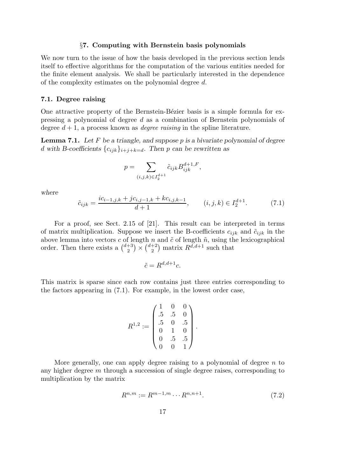#### §7. Computing with Bernstein basis polynomials

We now turn to the issue of how the basis developed in the previous section lends itself to effective algorithms for the computation of the various entities needed for the finite element analysis. We shall be particularly interested in the dependence of the complexity estimates on the polynomial degree d.

#### 7.1. Degree raising

One attractive property of the Bernstein-Bézier basis is a simple formula for expressing a polynomial of degree d as a combination of Bernstein polynomials of degree  $d+1$ , a process known as *degree raising* in the spline literature.

**Lemma 7.1.** Let F be a triangle, and suppose p is a bivariate polynomial of degree d with B-coefficients  ${c_{ijk}}_{i+j+k=d}$ . Then p can be rewritten as

$$
p = \sum_{(i,j,k)\in I_2^{d+1}} \tilde{c}_{ijk} B_{ijk}^{d+1,F},
$$

where

$$
\tilde{c}_{ijk} = \frac{ic_{i-1,j,k} + jc_{i,j-1,k} + kc_{i,j,k-1}}{d+1}, \qquad (i,j,k) \in I_2^{d+1}.
$$
 (7.1)

For a proof, see Sect. 2.15 of [21]. This result can be interpreted in terms of matrix multiplication. Suppose we insert the B-coefficients  $c_{ijk}$  and  $\tilde{c}_{ijk}$  in the above lemma into vectors c of length n and  $\tilde{c}$  of length  $\tilde{n}$ , using the lexicographical order. Then there exists a  $\binom{d+3}{2}$  $\binom{+3}{2}$   $\times$   $\binom{d+2}{2}$  $h_2^{+2}$ ) matrix  $R^{d,d+1}$  such that

$$
\tilde{c} = R^{d,d+1}c.
$$

This matrix is sparse since each row contains just three entries corresponding to the factors appearing in (7.1). For example, in the lowest order case,

$$
R^{1,2} := \begin{pmatrix} 1 & 0 & 0 \\ .5 & .5 & 0 \\ .5 & 0 & .5 \\ 0 & 1 & 0 \\ 0 & .5 & .5 \\ 0 & 0 & 1 \end{pmatrix}.
$$

More generally, one can apply degree raising to a polynomial of degree  $n$  to any higher degree m through a succession of single degree raises, corresponding to multiplication by the matrix

$$
R^{n,m} := R^{m-1,m} \cdots R^{n,n+1}.
$$
\n(7.2)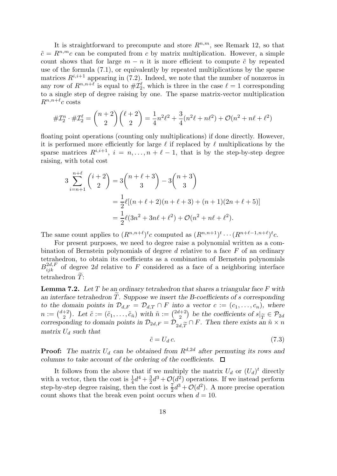It is straightforward to precompute and store  $R^{n,m}$ , see Remark 12, so that  $\tilde{c} = R^{n,m}c$  can be computed from c by matrix multiplication. However, a simple count shows that for large  $m - n$  it is more efficient to compute  $\tilde{c}$  by repeated use of the formula (7.1), or equivalently by repeated multiplications by the sparse matrices  $R^{i,i+1}$  appearing in (7.2). Indeed, we note that the number of nonzeros in any row of  $R^{n,n+\ell}$  is equal to  $\#\mathcal{I}_2^{\ell}$ , which is three in the case  $\ell = 1$  corresponding to a single step of degree raising by one. The sparse matrix-vector multiplication  $R^{n,n+\ell}c$  costs

$$
\#\mathcal{I}_2^n \cdot \#\mathcal{I}_2^\ell = \binom{n+2}{2} \binom{\ell+2}{2} = \frac{1}{4} n^2 \ell^2 + \frac{3}{4} (n^2 \ell + n \ell^2) + \mathcal{O}(n^2 + n \ell + \ell^2)
$$

floating point operations (counting only multiplications) if done directly. However, it is performed more efficiently for large  $\ell$  if replaced by  $\ell$  multiplications by the sparse matrices  $R^{i,i+1}$ ,  $i = n, \ldots, n + \ell - 1$ , that is by the step-by-step degree raising, with total cost

$$
3\sum_{i=n+1}^{n+\ell} {i+2 \choose 2} = 3{n+\ell+3 \choose 3} - 3{n+3 \choose 3}
$$
  
= 
$$
\frac{1}{2}\ell[(n+\ell+2)(n+\ell+3) + (n+1)(2n+\ell+5)]
$$
  
= 
$$
\frac{1}{2}\ell(3n^2+3n\ell+\ell^2) + \mathcal{O}(n^2+n\ell+\ell^2).
$$

The same count applies to  $(R^{n,n+\ell})^t c$  computed as  $(R^{n,n+1})^t \cdots (R^{n+\ell-1,n+\ell})^t c$ .

For present purposes, we need to degree raise a polynomial written as a combination of Bernstein polynomials of degree d relative to a face F of an ordinary tetrahedron, to obtain its coefficients as a combination of Bernstein polynomials  $B_{ijk}^{2d,F}$  of degree 2d relative to F considered as a face of a neighboring interface tetrahedron  $\tilde{T}$ :

**Lemma 7.2.** Let T be an ordinary tetrahedron that shares a triangular face F with an interface tetrahedron  $T$ . Suppose we insert the B-coefficients of s corresponding to the domain points in  $\mathcal{D}_{d,F} = \mathcal{D}_{d,T} \cap F$  into a vector  $c := (c_1, \ldots, c_n)$ , where  $n := \binom{d+2}{2}$  $\binom{+2}{2}$ . Let  $\tilde{c} := (\tilde{c}_1, \ldots, \tilde{c}_{\tilde{n}})$  with  $\tilde{n} := \binom{2d+2}{2}$ <sup>(+2</sup>) be the coefficients of  $s|_{\widetilde{T}} \in \mathcal{P}_{2d}$ <br> $\widetilde{\phantom{a}} \approx \cap F$ . Then there exists an  $\widetilde{n} \times n$ corresponding to domain points in  $\mathcal{D}_{2d,F} = \mathcal{D}_{2d,\widetilde{T}} \cap F$ . Then there exists an  $\widetilde{n} \times n$ <br>matrix  $U_1$ , such that matrix  $U_d$  such that

$$
\tilde{c} = U_d c. \tag{7.3}
$$

**Proof:** The matrix  $U_d$  can be obtained from  $R^{d,2d}$  after permuting its rows and columns to take account of the ordering of the coefficients.  $\Box$ 

It follows from the above that if we multiply the matrix  $U_d$  or  $(U_d)^t$  directly with a vector, then the cost is  $\frac{1}{4}d^4 + \frac{3}{2}d^3 + \mathcal{O}(d^2)$  operations. If we instead perform with a vector, then the cost is  $\frac{4}{4}a + \frac{2}{2}a + O(a^2)$  operations. If we instead perform<br>step-by-step degree raising, then the cost is  $\frac{7}{2}d^3 + O(d^2)$ . A more precise operation count shows that the break even point occurs when  $d = 10$ .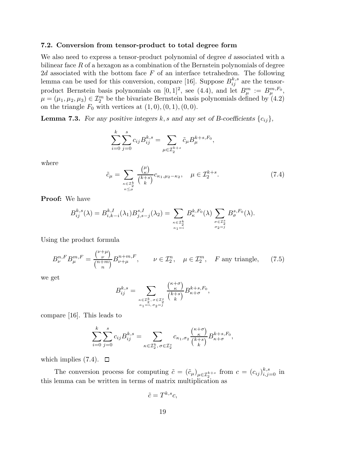### 7.2. Conversion from tensor-product to total degree form

We also need to express a tensor-product polynomial of degree d associated with a bilinear face  $R$  of a hexagon as a combination of the Bernstein polynomials of degree 2d associated with the bottom face  $F$  of an interface tetrahedron. The following lemma can be used for this conversion, compare [16]. Suppose  $B_{ij}^{k,s}$  are the tensorproduct Bernstein basis polynomials on  $[0,1]^2$ , see  $(4.4)$ , and let  $B^m_\mu := B^{m,F_0}_\mu$ ,  $\mu = (\mu_1, \mu_2, \mu_3) \in \mathcal{I}_2^m$  be the bivariate Bernstein basis polynomials defined by (4.2) on the triangle  $F_0$  with vertices at  $(1, 0), (0, 1), (0, 0)$ .

**Lemma 7.3.** For any positive integers k, s and any set of B-coefficients  $\{c_{ij}\},$ 

$$
\sum_{i=0}^{k} \sum_{j=0}^{s} c_{ij} B_{ij}^{k,s} = \sum_{\mu \in \mathcal{I}_{2}^{k+s}} \tilde{c}_{\mu} B_{\mu}^{k+s,F_{0}},
$$

where

 $\tilde{c}_{\mu} = \sum$  $\kappa \in \mathcal{I}_{2}^{k}$ <br> $\kappa \leq \mu$  $(\mu$  $\binom{\mu}{\kappa}$  $\binom{k+s}{1}$  $(\frac{\kappa}{k})^k c_{\kappa_1,\mu_2-\kappa_2}, \quad \mu \in \mathcal{I}_2^{k+s}$  $(7.4)$ 

Proof: We have

$$
B_{ij}^{k,s}(\lambda) = B_{i,k-i}^{k,I}(\lambda_1) B_{j,s-j}^{s,I}(\lambda_2) = \sum_{\kappa \in \mathcal{I}_{2}^k \atop \kappa_1 = i} B_{\kappa}^{k,F_0}(\lambda) \sum_{\sigma \in \mathcal{I}_{2}^s \atop \sigma_2 = j} B_{\sigma}^{s,F_0}(\lambda).
$$

Using the product formula

$$
B_{\nu}^{n,F}B_{\mu}^{m,F} = \frac{\binom{\nu+\mu}{\nu}}{\binom{n+m}{n}}B_{\nu+\mu}^{n+m,F}, \qquad \nu \in \mathcal{I}_2^n, \quad \mu \in \mathcal{I}_2^m, \quad F \text{ any triangle}, \tag{7.5}
$$

we get

$$
B_{ij}^{k,s} = \sum_{\substack{\kappa \in \mathcal{I}_2^k, \sigma \in \mathcal{I}_2^s \\ \kappa_1 = i, \sigma_2 = j}} \frac{\binom{\kappa + \sigma}{\kappa}}{\binom{k + s}{k}} B_{\kappa + \sigma}^{k+s, F_0},
$$

compare [16]. This leads to

$$
\sum_{i=0}^k \sum_{j=0}^s c_{ij} B_{ij}^{k,s} = \sum_{\kappa \in \mathcal{I}_2^k, \sigma \in \mathcal{I}_2^s} c_{\kappa_1, \sigma_2} \frac{\binom{\kappa + \sigma}{\kappa}}{\binom{k + s}{k}} B_{\kappa + \sigma}^{k+s, F_0},
$$

which implies  $(7.4)$ .  $\Box$ 

The conversion process for computing  $\tilde{c} = (\tilde{c}_{\mu})_{\mu \in \mathcal{I}_{2}^{k+s}}$  from  $c = (c_{ij})_{i,j=0}^{k,s}$  in this lemma can be written in terms of matrix multiplication as

$$
\tilde{c} = T^{k,s}c,
$$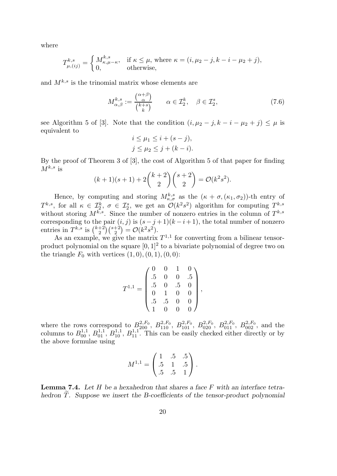where

$$
T^{k,s}_{\mu,(ij)} = \begin{cases} M^{k,s}_{\kappa,\mu-\kappa}, & \text{if } \kappa \le \mu, \text{ where } \kappa = (i,\mu_2-j,k-i-\mu_2+j), \\ 0, & \text{otherwise}, \end{cases}
$$

and  $M^{k,s}$  is the trinomial matrix whose elements are

$$
M_{\alpha,\beta}^{k,s} := \frac{\binom{\alpha+\beta}{\alpha}}{\binom{k+s}{k}} \qquad \alpha \in \mathcal{I}_2^k, \quad \beta \in \mathcal{I}_2^s,\tag{7.6}
$$

see Algorithm 5 of [3]. Note that the condition  $(i, \mu_2 - j, k - i - \mu_2 + j) \leq \mu$  is equivalent to

$$
i \leq \mu_1 \leq i + (s - j),
$$
  

$$
j \leq \mu_2 \leq j + (k - i).
$$

By the proof of Theorem 3 of [3], the cost of Algorithm 5 of that paper for finding  $M^{k,s}$  is

$$
(k+1)(s+1) + 2\binom{k+2}{2}\binom{s+2}{2} = \mathcal{O}(k^2 s^2).
$$

Hence, by computing and storing  $M_{\kappa,\sigma}^{k,s}$  as the  $(\kappa + \sigma, (\kappa_1, \sigma_2))$ -th entry of  $T^{k,s}$ , for all  $\kappa \in \mathcal{I}_2^k$ ,  $\sigma \in \mathcal{I}_2^s$ , we get an  $\mathcal{O}(k^2s^2)$  algorithm for computing  $T^{k,s}$ without storing  $M^{k,s}$ . Since the number of nonzero entries in the column of  $T^{k,s}$ corresponding to the pair  $(i, j)$  is  $(s - j + 1)(k - i + 1)$ , the total number of nonzero entries in  $T^{k,s}$  is  $\binom{k+2}{2}$  $\binom{+2}{2}\binom{s+2}{2} = \mathcal{O}(k^2 s^2).$ 

As an example, we give the matrix  $T^{1,1}$  for converting from a bilinear tensorproduct polynomial on the square  $[0,1]^2$  to a bivariate polynomial of degree two on the triangle  $F_0$  with vertices  $(1, 0), (0, 1), (0, 0)$ :

$$
T^{1,1} = \begin{pmatrix} 0 & 0 & 1 & 0 \\ .5 & 0 & 0 & .5 \\ .5 & 0 & .5 & 0 \\ 0 & 1 & 0 & 0 \\ .5 & .5 & 0 & 0 \\ 1 & 0 & 0 & 0 \end{pmatrix},
$$

where the rows correspond to  $B_{200}^{2,F_0}$ ,  $B_{110}^{2,F_0}$ ,  $B_{101}^{2,F_0}$ ,  $B_{020}^{2,F_0}$ ,  $B_{011}^{2,F_0}$ ,  $B_{002}^{2,F_0}$ , and the columns to  $B_{00}^{1,1}, B_{01}^{1,1}, B_{10}^{1,1}, B_{11}^{1,1}$ . This can be easily checked either directly or by the above formulae using

$$
M^{1,1} = \begin{pmatrix} 1 & .5 & .5 \\ .5 & 1 & .5 \\ .5 & .5 & 1 \end{pmatrix}.
$$

**Lemma 7.4.** Let H be a hexahedron that shares a face  $F$  with an interface tetrahedron  $T$ . Suppose we insert the B-coefficients of the tensor-product polynomial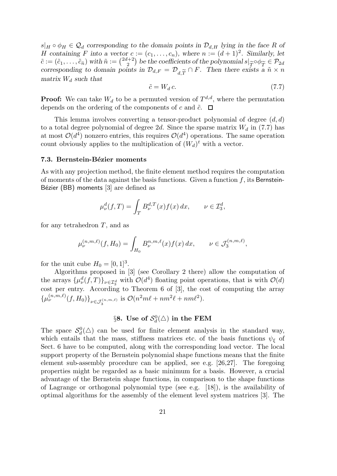$s|_H \circ \phi_H \in \mathcal{Q}_d$  corresponding to the domain points in  $\mathcal{D}_{d,H}$  lying in the face R of H containing F into a vector  $c := (c_1, \ldots, c_n)$ , where  $n := (d+1)^2$ . Similarly, let  $\tilde{c} := (\tilde{c}_1, \ldots, \tilde{c}_{\tilde{n}})$  with  $\tilde{n} := \binom{2d+2}{2}$ <sup>1+2</sup> be the coefficients of the polynomial  $s|_{\widetilde{T}} \circ \phi_{\widetilde{T}} \in \mathcal{P}_{2d}$ <br>ints in  $\mathcal{D}_{d,F} = \mathcal{D} \sim \cap F$ . Then there exists a  $\widetilde{n} \times n$ corresponding to domain points in  $\mathcal{D}_{d,F} = \mathcal{D}_{d,\widetilde{T}} \cap F$ . Then there exists a  $\widetilde{n} \times n$  matrix  $W_i$ , such that matrix  $W_d$  such that

$$
\tilde{c} = W_d c. \tag{7.7}
$$

**Proof:** We can take  $W_d$  to be a permuted version of  $T^{d,d}$ , where the permutation depends on the ordering of the components of c and  $\tilde{c}$ .  $\Box$ 

This lemma involves converting a tensor-product polynomial of degree  $(d, d)$ to a total degree polynomial of degree 2d. Since the sparse matrix  $W_d$  in (7.7) has at most  $\mathcal{O}(d^4)$  nonzero entries, this requires  $\mathcal{O}(d^4)$  operations. The same operation count obviously applies to the multiplication of  $(W_d)^t$  with a vector.

### 7.3. Bernstein-Bézier moments

As with any projection method, the finite element method requires the computation of moments of the data against the basis functions. Given a function  $f$ , its Bernstein-Bézier (BB) moments  $[3]$  are defined as

$$
\mu^d_\nu(f,T) = \int_T B^{d,T}_\nu(x) f(x) \, dx, \qquad \nu \in \mathcal{I}_3^d,
$$

for any tetrahedron  $T$ , and as

$$
\mu_{\nu}^{(n,m,\ell)}(f,H_0) = \int_{H_0} B_{\nu}^{n,m,\ell}(x) f(x) \, dx, \qquad \nu \in \mathcal{J}_3^{(n,m,\ell)},
$$

for the unit cube  $H_0 = [0, 1]^3$ .

Algorithms proposed in [3] (see Corollary 2 there) allow the computation of the arrays  $\{\mu^d_\nu(f,T)\}_{\nu \in \mathcal{I}^d_3}$  with  $\mathcal{O}(d^4)$  floating point operations, that is with  $\mathcal{O}(d)$ cost per entry. According to Theorem 6 of [3], the cost of computing the array  ${\{\mu_{\nu}^{(n,m,\ell)}(f,H_0)\}}_{\nu \in \mathcal{J}_3^{(n,m,\ell)}}$  is  $\mathcal{O}(n^2m\ell + nm^2\ell + nm\ell^2)$ .

# $\S 8. \ \mathbf{Use \ of} \ \mathcal{S}_d^0(\triangle) \text{ in the FEM}$

The space  $S_d^0(\triangle)$  can be used for finite element analysis in the standard way, which entails that the mass, stiffness matrices etc. of the basis functions  $\psi_{\xi}$  of Sect. 6 have to be computed, along with the corresponding load vector. The local support property of the Bernstein polynomial shape functions means that the finite element sub-assembly procedure can be applied, see e.g. [26,27]. The foregoing properties might be regarded as a basic minimum for a basis. However, a crucial advantage of the Bernstein shape functions, in comparison to the shape functions of Lagrange or orthogonal polynomial type (see e.g. [18]), is the availability of optimal algorithms for the assembly of the element level system matrices [3]. The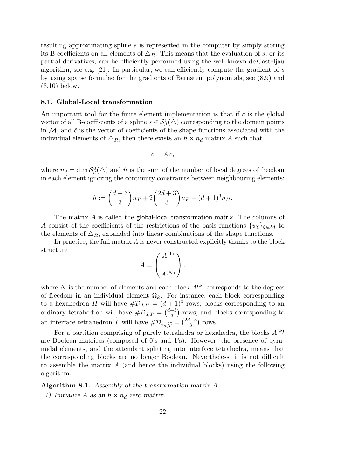resulting approximating spline s is represented in the computer by simply storing its B-coefficients on all elements of  $\Delta_R$ . This means that the evaluation of s, or its partial derivatives, can be efficiently performed using the well-known de Casteljau algorithm, see e.g. [21]. In particular, we can efficiently compute the gradient of  $s$ by using sparse formulae for the gradients of Bernstein polynomials, see (8.9) and (8.10) below.

# 8.1. Global-Local transformation

An important tool for the finite element implementation is that if  $c$  is the global vector of all B-coefficients of a spline  $s \in \mathcal{S}_d^0(\triangle)$  corresponding to the domain points in  $M$ , and  $\hat{c}$  is the vector of coefficients of the shape functions associated with the individual elements of  $\Delta_R$ , then there exists an  $\hat{n} \times n_d$  matrix A such that

$$
\hat{c} = A c,
$$

where  $n_d = \dim \mathcal{S}_d^0(\triangle)$  and  $\hat{n}$  is the sum of the number of local degrees of freedom in each element ignoring the continuity constraints between neighbouring elements:

$$
\hat{n} := \binom{d+3}{3}n_T + 2\binom{2d+3}{3}n_P + (d+1)^3 n_H.
$$

The matrix A is called the global-local transformation matrix. The columns of A consist of the coefficients of the restrictions of the basis functions  $\{\psi_{\xi}\}_{\xi \in \mathcal{M}}$  to the elements of  $\Delta_R$ , expanded into linear combinations of the shape functions.

In practice, the full matrix  $\vec{A}$  is never constructed explicitly thanks to the block structure

$$
A = \begin{pmatrix} A^{(1)} \\ \vdots \\ A^{(N)} \end{pmatrix}.
$$

where N is the number of elements and each block  $A^{(k)}$  corresponds to the degrees of freedom in an individual element  $\Omega_k$ . For instance, each block corresponding to a hexahedron H will have  $\#\mathcal{D}_{d,H} = (d+1)^3$  rows; blocks corresponding to an ordinary tetrahedron will have  $\#\mathcal{D}_{d,T} = \binom{d+3}{3}$  $\binom{+3}{3}$  rows; and blocks corresponding to an interface tetrahedron  $\tilde{T}$  will have  $\#\mathcal{D}_{2d,\widetilde{T}} = \binom{2d+3}{3}$  $\binom{l+3}{3}$  rows.

For a partition comprising of purely tetrahedra or hexahedra, the blocks  $A^{(k)}$ are Boolean matrices (composed of 0's and 1's). However, the presence of pyramidal elements, and the attendant splitting into interface tetrahedra, means that the corresponding blocks are no longer Boolean. Nevertheless, it is not difficult to assemble the matrix A (and hence the individual blocks) using the following algorithm.

Algorithm 8.1. Assembly of the transformation matrix A.

1) Initialize A as an  $\hat{n} \times n_d$  zero matrix.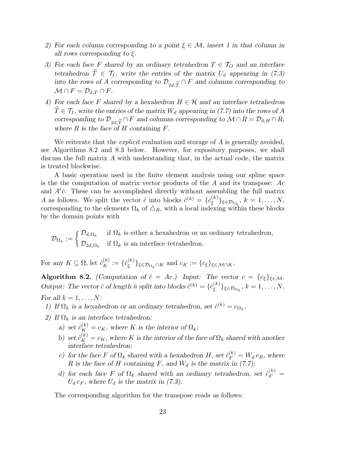- 2) For each column corresponding to a point  $\xi \in \mathcal{M}$ , insert 1 in that column in all rows corresponding to  $\xi$ .
- 3) For each face F shared by an ordinary tetrahedron  $T \in \mathcal{T}_Q$  and an interface tetrahedron  $\widetilde{T} \in \mathcal{T}_I$ , write the entries of the matrix  $U_d$  appearing in (7.3) into the rows of A corresponding to  $\mathcal{D}_{2d,\widetilde{T}} \cap F$  and columns corresponding to  $M \cap F = \mathcal{D}_{\lambda,\widetilde{T}} \cap F$  $\mathcal{M} \cap F = \mathcal{D}_{d,T} \cap F.$
- 4) For each face F shared by a hexahedron  $H \in \mathcal{H}$  and an interface tetrahedron  $\widetilde{T} \in \mathcal{T}_I$ , write the entries of the matrix  $W_d$  appearing in (7.7) into the rows of A corresponding to  $\mathcal{D}_{2d,\widetilde{T}} \cap F$  and columns corresponding to  $\mathcal{M} \cap R = \mathcal{D}_{d,H} \cap R$ ,<br>where R is the face of H containing F where  $R$  is the face of  $H$  containing  $F$ .

We reiterate that the *explicit* evaluation and storage of A is generally avoided, see Algorithms 8.2 and 8.3 below. However, for expository purposes, we shall discuss the full matrix A with understanding that, in the actual code, the matrix is treated blockwise.

A basic operation used in the finite element analysis using our spline space is the the computation of matrix vector products of the  $A$  and its transpose:  $Ac$ and  $A<sup>t</sup>\hat{c}$ . These can be accomplished directly without assembling the full matrix A as follows. We split the vector  $\hat{c}$  into blocks  $\hat{c}^{(k)} = \{\hat{c}_{\epsilon}^{(k)}\}$  $\{\xi^{(k)}\}_{\xi \in \mathcal{D}_{\Omega_k}},\ k=1,\ldots,N,$ corresponding to the elements  $\Omega_k$  of  $\Delta_R$ , with a local indexing within these blocks by the domain points with

 $\mathcal{D}_{\Omega_k} := \begin{cases} \mathcal{D}_{d,\Omega_k} & \text{if } \Omega_k \text{ is either a hexahedron or an ordinary tetrahedron,} \\ \mathcal{D}_{\Omega_k} & \text{if } \Omega_k \text{ is an interface tetrahedron.} \end{cases}$  $\mathcal{D}_{2d,\Omega_k}$  if  $\Omega_k$  is an interface tetrahedron.

For any  $K \subseteq \Omega$ , let  $\hat{c}_K^{(k)} := \{ \hat{c}_{\xi}^{(k)} \}$  $\{\xi^{(k)}\}_{\xi \in \mathcal{D}_{\Omega_k} \cap K}$  and  $c_K := \{c_{\xi}\}_{\xi \in \mathcal{M} \cap K}$ .

Algorithm 8.2. (Computation of  $\hat{c} = Ac$ .) Input: The vector  $c = \{c_{\xi}\}_{\xi \in \mathcal{M}}$ . Output: The vector  $\hat{c}$  of length  $\hat{n}$  split into blocks  $\hat{c}^{(k)} = \{\hat{c}_{\epsilon}^{(k)}\}$  $\{\xi^{(k)}\}_{\xi \in \mathcal{D}_{\Omega_k}}, k = 1, \ldots, N.$ For all  $k = 1, \ldots, N$ :

- 1) If  $\Omega_k$  is a hexahedron or an ordinary tetrahedron, set  $\hat{c}^{(k)} = c_{\Omega_k}$ .
- 2) If  $\Omega_k$  is an interface tetrahedron:
	- a) set  $\hat{c}_K^{(k)} = c_K$ , where K is the interior of  $\Omega_k$ ;
	- b) set  $\hat{c}_K^{(k)} = c_K$ , where K is the interior of the face of  $\Omega_k$  shared with another interface tetrahedron;
	- c) for the face F of  $\Omega_k$  shared with a hexahedron H, set  $\hat{c}_F^{(k)} = W_d c_R$ , where R is the face of H containing F, and  $W_d$  is the matrix in (7.7);
	- d) for each face F of  $\Omega_k$  shared with an ordinary tetrahedron, set  $\hat{c}_F^{(k)}$  =  $U_d c_F$ , where  $U_d$  is the matrix in (7.3).

The corresponding algorithm for the transpose reads as follows: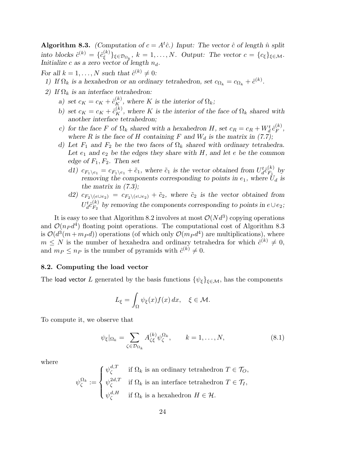**Algorithm 8.3.** (Computation of  $c = A<sup>t</sup>\hat{c}$ .) Input: The vector  $\hat{c}$  of length  $\hat{n}$  split into blocks  $\hat{c}^{(k)} = \{\hat{c}_{\varepsilon}^{(k)}\}$  $\{\xi^{(k)}\}_{\xi \in \mathcal{D}_{\Omega_k}}, k = 1, \ldots, N.$  Output: The vector  $c = \{c_{\xi}\}_{\xi \in \mathcal{M}}$ . Initialize c as a zero vector of length  $n_d$ .

For all  $k = 1, ..., N$  such that  $\hat{c}^{(k)} \neq 0$ :

- 1) If  $\Omega_k$  is a hexahedron or an ordinary tetrahedron, set  $c_{\Omega_k} = c_{\Omega_k} + \hat{c}^{(k)}$ .
- 2) If  $\Omega_k$  is an interface tetrahedron:
	- a) set  $c_K = c_K + \hat{c}_K^{(k)}$ , where K is the interior of  $\Omega_k$ ;
	- b) set  $c_K = c_K + \hat{c}_K^{(k)}$ , where K is the interior of the face of  $\Omega_k$  shared with another interface tetrahedron;
	- c) for the face F of  $\Omega_k$  shared with a hexahedron H, set  $c_R = c_R + W_d^t \hat{c}_F^{(k)}$  $\mathop{F}\limits^{(\kappa)}$ where R is the face of H containing F and  $W_d$  is the matrix in (7.7);
	- d) Let  $F_1$  and  $F_2$  be the two faces of  $\Omega_k$  shared with ordinary tetrahedra. Let  $e_1$  and  $e_2$  be the edges they share with H, and let e be the common edge of  $F_1, F_2$ . Then set
		- d1)  $c_{F_1 \setminus e_1} = c_{F_1 \setminus e_1} + \tilde{c}_1$ , where  $\tilde{c}_1$  is the vector obtained from  $U_d^t \hat{c}_{F_1}^{(k)}$  $E_1^{(\kappa)}$  by removing the components corresponding to points in  $e_1$ , where  $U_d$  is the matrix in  $(7.3)$ ;
		- d2)  $c_{F_2\setminus (e\cup e_2)} = c_{F_2\setminus (e\cup e_2)} + \tilde{c}_2$ , where  $\tilde{c}_2$  is the vector obtained from  $U_d^t\hat{c}_{F_2}^{(k)}$  $F_2^{(k)}$  by removing the components corresponding to points in  $e \cup e_2$ ;

It is easy to see that Algorithm 8.2 involves at most  $\mathcal{O}(N d^3)$  copying operations and  $\mathcal{O}(n_P d^4)$  floating point operations. The computational cost of Algorithm 8.3 is  $\mathcal{O}(d^3(m+m_P d))$  operations (of which only  $\mathcal{O}(m_P d^4)$ ) are multiplications), where  $m \leq N$  is the number of hexahedra and ordinary tetrahedra for which  $\hat{c}^{(k)} \neq 0$ , and  $m_P \leq n_P$  is the number of pyramids with  $\hat{c}^{(k)} \neq 0$ .

# 8.2. Computing the load vector

The load vector L generated by the basis functions  $\{\psi_{\xi}\}_{\xi \in \mathcal{M}}$ , has the components

$$
L_{\xi} = \int_{\Omega} \psi_{\xi}(x) f(x) \, dx, \quad \xi \in \mathcal{M}.
$$

To compute it, we observe that

$$
\psi_{\xi}|_{\Omega_k} = \sum_{\zeta \in \mathcal{D}_{\Omega_k}} A_{\zeta\xi}^{(k)} \psi_{\zeta}^{\Omega_k}, \qquad k = 1, \dots, N,
$$
\n(8.1)

where

$$
\psi_{\zeta}^{\Omega_k} := \begin{cases} \psi_{\zeta}^{d,T} & \text{if } \Omega_k \text{ is an ordinary tetrahedron } T \in \mathcal{T}_O, \\ \psi_{\zeta}^{2d,T} & \text{if } \Omega_k \text{ is an interface tetrahedron } T \in \mathcal{T}_I, \\ \psi_{\zeta}^{d,H} & \text{if } \Omega_k \text{ is a hexahedron } H \in \mathcal{H}. \end{cases}
$$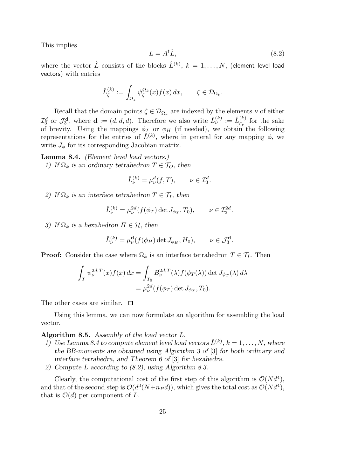This implies

$$
L = A^t \hat{L},\tag{8.2}
$$

where the vector  $\hat{L}$  consists of the blocks  $\hat{L}^{(k)},\ k=1,\ldots,N,$  (element level load vectors) with entries

$$
\hat{L}_{\zeta}^{(k)} := \int_{\Omega_k} \psi_{\zeta}^{\Omega_k}(x) f(x) \, dx, \qquad \zeta \in \mathcal{D}_{\Omega_k}.
$$

Recall that the domain points  $\zeta \in \mathcal{D}_{\Omega_k}$  are indexed by the elements  $\nu$  of either  $\mathcal{I}_3^d$  or  $\mathcal{J}_3^{\mathbf{d}}$  $\hat{L}_3^{\mathbf{d}},$  where  $\mathbf{d} := (d, d, d)$ . Therefore we also write  $\hat{L}_{\nu}^{(k)} := \hat{L}_{\zeta_{\nu}}^{(k)}$  $\zeta_{\nu}^{(\kappa)}$  for the sake of brevity. Using the mappings  $\phi_T$  or  $\phi_H$  (if needed), we obtain the following representations for the entries of  $\hat{L}^{(k)}$ , where in general for any mapping  $\phi$ , we write  $J_{\phi}$  for its corresponding Jacobian matrix.

Lemma 8.4. (Element level load vectors.) 1) If  $\Omega_k$  is an ordinary tetrahedron  $T \in \mathcal{T}_O$ , then

$$
\hat{L}_{\nu}^{(k)} = \mu_{\nu}^d(f, T), \qquad \nu \in \mathcal{I}_3^d.
$$

2) If  $\Omega_k$  is an interface tetrahedron  $T \in \mathcal{T}_I$ , then

$$
\hat{L}_{\nu}^{(k)} = \mu_{\nu}^{2d}(f(\phi_T) \det J_{\phi_T}, T_0), \qquad \nu \in \mathcal{I}_3^{2d}.
$$

3) If  $\Omega_k$  is a hexahedron  $H \in \mathcal{H}$ , then

$$
\hat{L}_{\nu}^{(k)} = \mu_{\nu}^{\mathbf{d}}(f(\phi_H) \det J_{\phi_H}, H_0), \qquad \nu \in \mathcal{J}_3^{\mathbf{d}}.
$$

**Proof:** Consider the case where  $\Omega_k$  is an interface tetrahedron  $T \in \mathcal{T}_I$ . Then

$$
\int_T \psi_{\nu}^{2d,T}(x) f(x) dx = \int_{T_0} B_{\nu}^{2d,T}(\lambda) f(\phi_T(\lambda)) \det J_{\phi_T}(\lambda) d\lambda
$$
  
=  $\mu_{\nu}^{2d}(f(\phi_T) \det J_{\phi_T}, T_0).$ 

The other cases are similar.  $\square$ 

Using this lemma, we can now formulate an algorithm for assembling the load vector.

# Algorithm 8.5. Assembly of the load vector L.

- 1) Use Lemma 8.4 to compute element level load vectors  $\hat{L}^{(k)}$ ,  $k = 1, \ldots, N$ , where the BB-moments are obtained using Algorithm 3 of [3] for both ordinary and interface tetrahedra, and Theorem 6 of [3] for hexahedra.
- 2) Compute L according to (8.2), using Algorithm 8.3.

Clearly, the computational cost of the first step of this algorithm is  $\mathcal{O}(Nd^4)$ , and that of the second step is  $\mathcal{O}(d^3(N+n_P d))$ , which gives the total cost as  $\mathcal{O}(Nd^4)$ , that is  $\mathcal{O}(d)$  per component of L.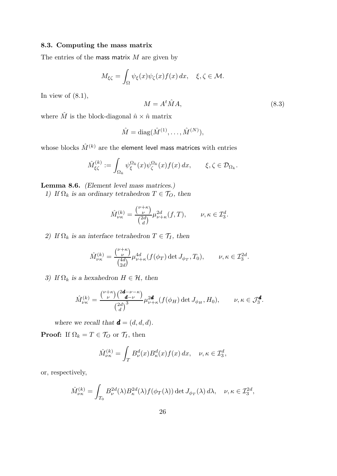# 8.3. Computing the mass matrix

The entries of the mass matrix  $M$  are given by

$$
M_{\xi\zeta} = \int_{\Omega} \psi_{\xi}(x)\psi_{\zeta}(x)f(x) dx, \quad \xi, \zeta \in \mathcal{M}.
$$

In view of  $(8.1)$ ,

$$
M = A^t \hat{M} A,\tag{8.3}
$$

where  $\hat{M}$  is the block-diagonal  $\hat{n} \times \hat{n}$  matrix

$$
\hat{M} = \mathrm{diag}(\hat{M}^{(1)}, \dots, \hat{M}^{(N)}),
$$

whose blocks  $\hat{M}^{(k)}$  are the element level mass matrices with entries

$$
\hat{M}^{(k)}_{\xi\zeta} := \int_{\Omega_k} \psi^{\Omega_k}_{\xi}(x) \psi^{\Omega_k}_{\zeta}(x) f(x) dx, \qquad \xi, \zeta \in \mathcal{D}_{\Omega_k}.
$$

Lemma 8.6. (Element level mass matrices.)

1) If  $\Omega_k$  is an ordinary tetrahedron  $T \in \mathcal{T}_O$ , then

$$
\hat{M}^{(k)}_{\nu\kappa} = \frac{\binom{\nu+\kappa}{\nu}}{\binom{2d}{d}} \mu^{2d}_{\nu+\kappa}(f,T), \qquad \nu,\kappa\in\mathcal{I}^d_3.
$$

2) If  $\Omega_k$  is an interface tetrahedron  $T \in \mathcal{T}_I$ , then

$$
\hat{M}_{\nu\kappa}^{(k)}=\frac{{\nu+\kappa\choose \nu}}{{4d\choose 2d}}\mu_{\nu+\kappa}^{4d}(f(\phi_T)\det J_{\phi_T},T_0),\qquad \nu,\kappa\in\mathcal{I}^{2d}_3.
$$

3) If  $\Omega_k$  is a hexahedron  $H \in \mathcal{H}$ , then

$$
\hat{M}^{(k)}_{\nu\kappa} = \frac{\binom{\nu+\kappa}{\nu}\binom{2\mathbf{d}-\nu-\kappa}{\mathbf{d}-\nu}}{\binom{2d}{d}^3} \mu_{\nu+\kappa}^{2\mathbf{d}}(f(\phi_H) \det J_{\phi_H}, H_0), \qquad \nu, \kappa \in \mathcal{J}_3^{\mathbf{d}}.
$$

where we recall that  $\boldsymbol{d} = (d, d, d)$ .

**Proof:** If  $\Omega_k = T \in \mathcal{T}_O$  or  $\mathcal{T}_I$ , then

$$
\hat{M}^{(k)}_{\nu\kappa} = \int_T B^d_{\nu}(x) B^d_{\kappa}(x) f(x) \, dx, \quad \nu, \kappa \in \mathcal{I}_3^d,
$$

or, respectively,

$$
\hat{M}^{(k)}_{\nu\kappa} = \int_{T_0} B_{\nu}^{2d}(\lambda) B_{\kappa}^{2d}(\lambda) f(\phi_T(\lambda)) \det J_{\phi_T}(\lambda) d\lambda, \quad \nu, \kappa \in \mathcal{I}_3^{2d},
$$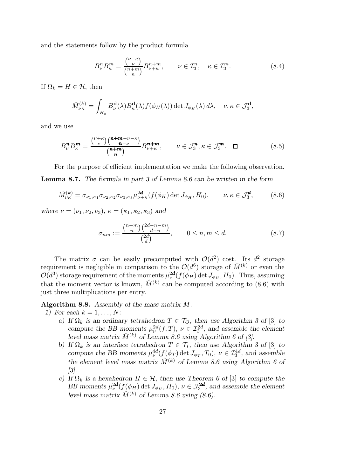and the statements follow by the product formula

$$
B_{\nu}^{n}B_{\kappa}^{m} = \frac{\binom{\nu+\kappa}{\nu}}{\binom{n+m}{n}} B_{\nu+\kappa}^{n+m}, \qquad \nu \in \mathcal{I}_{3}^{n}, \quad \kappa \in \mathcal{I}_{3}^{m}.
$$
 (8.4)

If  $\Omega_k = H \in \mathcal{H}$ , then

$$
\hat{M}^{(k)}_{\nu\kappa} = \int_{H_0} B^{\mathbf{d}}_{\nu}(\lambda) B^{\mathbf{d}}_{\kappa}(\lambda) f(\phi_H(\lambda)) \det J_{\phi_H}(\lambda) d\lambda, \quad \nu, \kappa \in \mathcal{J}_3^{\mathbf{d}},
$$

and we use

$$
B_{\nu}^{\mathbf{n}} B_{\kappa}^{\mathbf{m}} = \frac{\binom{\nu+\kappa}{\nu}\binom{\mathbf{n}+\mathbf{m}-\nu-\kappa}{\mathbf{n}-\nu}}{\binom{\mathbf{n}+\mathbf{m}}{\mathbf{n}}} B_{\nu+\kappa}^{\mathbf{n}+\mathbf{m}}, \qquad \nu \in \mathcal{J}_3^{\mathbf{n}}, \kappa \in \mathcal{J}_3^{\mathbf{m}}. \quad \Box \tag{8.5}
$$

For the purpose of efficient implementation we make the following observation. Lemma 8.7. The formula in part 3 of Lemma 8.6 can be written in the form

$$
\hat{M}^{(k)}_{\nu\kappa} = \sigma_{\nu_1,\kappa_1} \sigma_{\nu_2,\kappa_2} \sigma_{\nu_3,\kappa_3} \mu_{\nu+\kappa}^{2d} (f(\phi_H) \det J_{\phi_H}, H_0), \qquad \nu,\kappa \in \mathcal{J}_3^d,
$$
 (8.6)

where  $\nu = (\nu_1, \nu_2, \nu_3)$ ,  $\kappa = (\kappa_1, \kappa_2, \kappa_3)$  and

$$
\sigma_{nm} := \frac{\binom{n+m}{n} \binom{2d-n-m}{d-n}}{\binom{2d}{d}}, \qquad 0 \le n, m \le d. \tag{8.7}
$$

The matrix  $\sigma$  can be easily precomputed with  $\mathcal{O}(d^2)$  cost. Its  $d^2$  storage requirement is negligible in comparison to the  $\mathcal{O}(d^6)$  storage of  $\hat{M}^{(k)}$  or even the  $\mathcal{O}(d^3)$  storage requirement of the moments  $\mu_{\nu}^{2d}(f(\phi_H) \det J_{\phi_H}, H_0)$ . Thus, assuming that the moment vector is known,  $\hat{M}^{(k)}$  can be computed according to (8.6) with just three multiplications per entry.

Algorithm 8.8. Assembly of the mass matrix M.

1) For each  $k = 1, \ldots, N$ :

- a) If  $\Omega_k$  is an ordinary tetrahedron  $T \in \mathcal{T}_O$ , then use Algorithm 3 of [3] to compute the BB moments  $\mu_{\nu}^{2d}(f,T)$ ,  $\nu \in \mathcal{I}_{3}^{2d}$ , and assemble the element level mass matrix  $\hat{M}^{(k)}$  of Lemma 8.6 using Algorithm 6 of [3].
- b) If  $\Omega_k$  is an interface tetrahedron  $T \in \mathcal{T}_I$ , then use Algorithm 3 of [3] to compute the BB moments  $\mu_{\nu}^{4d}(f(\phi_T) \det J_{\phi_T}, T_0)$ ,  $\nu \in \mathcal{I}_3^{4d}$ , and assemble the element level mass matrix  $\hat{M}^{(k)}$  of Lemma 8.6 using Algorithm 6 of [3].
- c) If  $\Omega_k$  is a hexahedron  $H \in \mathcal{H}$ , then use Theorem 6 of [3] to compute the BB moments  $\mu_{\nu}^{2d}(f(\phi_H) \det J_{\phi_H}, H_0), \nu \in \mathcal{J}_3^{2d}$ , and assemble the element level mass matrix  $\hat{M}^{(k)}$  of Lemma 8.6 using (8.6).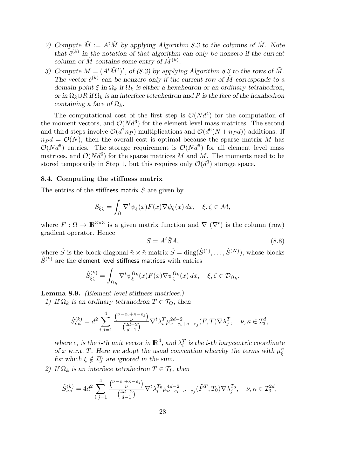- 2) Compute  $\tilde{M} := A^t \hat{M}$  by applying Algorithm 8.3 to the columns of  $\hat{M}$ . Note that  $\hat{c}^{(k)}$  in the notation of that algorithm can only be nonzero if the current column of  $\hat{M}$  contains some entry of  $\hat{M}^{(k)}$ .
- 3) Compute  $M = (A^t \tilde{M}^t)^t$ , of (8.3) by applying Algorithm 8.3 to the rows of  $\tilde{M}$ . The vector  $\hat{c}^{(k)}$  can be nonzero only if the current row of  $\tilde{M}$  corresponds to a domain point  $\xi$  in  $\Omega_k$  if  $\Omega_k$  is either a hexahedron or an ordinary tetrahedron, or in  $\Omega_k \cup R$  if  $\Omega_k$  is an interface tetrahedron and R is the face of the hexahedron containing a face of  $\Omega_k$ .

The computational cost of the first step is  $\mathcal{O}(Nd^4)$  for the computation of the moment vectors, and  $\mathcal{O}(N d^6)$  for the element level mass matrices. The second and third steps involve  $\mathcal{O}(d^7n_P)$  multiplications and  $\mathcal{O}(d^6(N+n_P d))$  additions. If  $n_P d = \mathcal{O}(N)$ , then the overall cost is optimal because the sparse matrix M has  $\mathcal{O}(Nd^6)$  entries. The storage requirement is  $\mathcal{O}(Nd^6)$  for all element level mass matrices, and  $\mathcal{O}(Nd^6)$  for the sparse matrices  $\tilde{M}$  and  $\tilde{M}$ . The moments need to be stored temporarily in Step 1, but this requires only  $\mathcal{O}(d^3)$  storage space.

#### 8.4. Computing the stiffness matrix

The entries of the stiffness matrix  $S$  are given by

$$
S_{\xi\zeta} = \int_{\Omega} \nabla^t \psi_{\xi}(x) F(x) \nabla \psi_{\zeta}(x) dx, \quad \xi, \zeta \in \mathcal{M},
$$

where  $F: \Omega \to \mathbb{R}^{3 \times 3}$  is a given matrix function and  $\nabla (\nabla^t)$  is the column (row) gradient operator. Hence

$$
S = A^t \hat{S} A,\tag{8.8}
$$

where  $\hat{S}$  is the block-diagonal  $\hat{n} \times \hat{n}$  matrix  $\hat{S} = \text{diag}(\hat{S}^{(1)}, \dots, \hat{S}^{(N)})$ , whose blocks  $\hat{S}^{(k)}$  are the element level stiffness matrices with entries

$$
\hat{S}^{(k)}_{\xi\zeta} = \int_{\Omega_k} \nabla^t \psi_{\xi}^{\Omega_k}(x) F(x) \nabla \psi_{\zeta}^{\Omega_k}(x) \, dx, \quad \xi, \zeta \in \mathcal{D}_{\Omega_k}.
$$

Lemma 8.9. (Element level stiffness matrices.)

1) If  $\Omega_k$  is an ordinary tetrahedron  $T \in \mathcal{T}_O$ , then

$$
\hat{S}^{(k)}_{\nu\kappa} = d^2 \sum_{i,j=1}^4 \frac{\binom{\nu - e_i + \kappa - e_j}{\nu}}{\binom{2d-2}{d-1}} \nabla^t \lambda_i^T \mu_{\nu - e_i + \kappa - e_j}^{2d-2} (F, T) \nabla \lambda_j^T, \quad \nu, \kappa \in \mathcal{I}_3^d,
$$

where  $e_i$  is the *i*-th unit vector in  $\mathbb{R}^4$ , and  $\lambda_i^T$  is the *i*-th barycentric coordinate of x w.r.t. T. Here we adopt the usual convention whereby the terms with  $\mu_{\xi}^{n}$ for which  $\xi \notin \mathcal{I}_3^n$  are ignored in the sum.

2) If  $\Omega_k$  is an interface tetrahedron  $T \in \mathcal{T}_I$ , then

$$
\hat{S}_{\nu\kappa}^{(k)} = 4d^2 \sum_{i,j=1}^4 \frac{\binom{\nu - e_i + \kappa - e_j}{\nu}}{\binom{4d-2}{d-1}} \nabla^t \lambda_i^{T_0} \mu_{\nu - e_i + \kappa - e_j}^{4d-2} (\tilde{F}^T, T_0) \nabla \lambda_j^{T_0}, \quad \nu, \kappa \in \mathcal{I}_3^{2d},
$$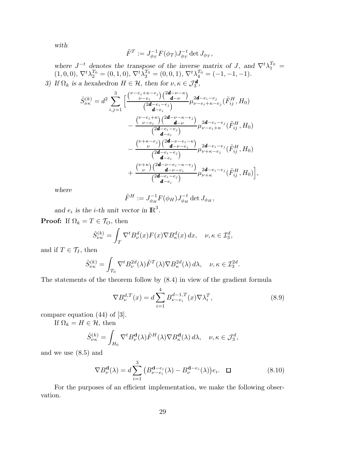with

$$
\tilde{F}^T:=J_{\phi_T}^{-1}F(\phi_T)J_{\phi_T}^{-t}\det J_{\phi_T},
$$

where  $J^{-t}$  denotes the transpose of the inverse matrix of J, and  $\nabla^t \lambda_1^{T_0} =$  $(1,0,0), \nabla^t \lambda_2^{T_0} = (0,1,0), \nabla^t \lambda_3^{T_0} = (0,0,1), \nabla^t \lambda_4^{T_0} = (-1,-1,-1).$ 3) If  $\Omega_k$  is a hexahedron  $H \in \mathcal{H}$ , then for  $\nu, \kappa \in \mathcal{J}_3^{\mathbf{d}}$ ,

$$
\hat{S}_{\nu\kappa}^{(k)} = d^2 \sum_{i,j=1}^3 \left[ \frac{\binom{\nu - e_i + \kappa - e_j}{\nu - e_i} \binom{2\mathbf{d} - \nu - \kappa}{\mathbf{d} - \nu}}{\binom{2\mathbf{d} - e_i - e_j}{\mathbf{d} - e_i}} \mu_{\nu - e_i + \kappa - e_j}^{2\mathbf{d} - e_i - e_j}(\tilde{F}_{ij}^H, H_0) \right. \\
\left. - \frac{\binom{\nu - e_i + \kappa}{\nu - e_i} \binom{2\mathbf{d} - \nu - \kappa - e_j}{\mathbf{d} - \nu}}{\binom{2\mathbf{d} - e_i - e_j}{\mathbf{d} - e_i}} \mu_{\nu - e_i + \kappa}^{2\mathbf{d} - e_i - e_j}(\tilde{F}_{ij}^H, H_0) \right. \\
\left. - \frac{\binom{\nu + \kappa - e_j}{\nu} \binom{2\mathbf{d} - \nu - e_i - \kappa}{\mathbf{d} - e_i}}{\binom{2\mathbf{d} - \nu - e_i}{\mathbf{d} - e_i}} \mu_{\nu + \kappa - e_j}^{2\mathbf{d} - e_i - e_j}(\tilde{F}_{ij}^H, H_0) \right. \\
\left. + \frac{\binom{\nu + \kappa}{\nu} \binom{2\mathbf{d} - \nu - e_i - \kappa - e_j}{\mathbf{d} - \nu - e_i}}{\binom{2\mathbf{d} - e_i - e_j}{\mathbf{d} - e_i}} \mu_{\nu + \kappa}^{2\mathbf{d} - e_i - e_j}(\tilde{F}_{ij}^H, H_0) \right],
$$

where

$$
\tilde{F}^H := J_{\phi_H}^{-1} F(\phi_H) J_{\phi_H}^{-t} \det J_{\phi_H},
$$

and  $e_i$  is the *i*-th unit vector in  $\mathbb{R}^3$ .

**Proof:** If  $\Omega_k = T \in \mathcal{T}_O$ , then

$$
\hat{S}_{\nu\kappa}^{(k)} = \int_{T} \nabla^{t} B_{\nu}^{d}(x) F(x) \nabla B_{\kappa}^{d}(x) dx, \quad \nu, \kappa \in \mathcal{I}_{3}^{d},
$$

and if  $T \in \mathcal{T}_I$ , then

$$
\hat{S}_{\nu\kappa}^{(k)} = \int_{T_0} \nabla^t B_{\nu}^{2d}(\lambda) \tilde{F}^T(\lambda) \nabla B_{\kappa}^{2d}(\lambda) d\lambda, \quad \nu, \kappa \in \mathcal{I}_3^{2d}.
$$

The statements of the theorem follow by (8.4) in view of the gradient formula

$$
\nabla B_{\nu}^{d,T}(x) = d \sum_{i=1}^{4} B_{\nu-e_i}^{d-1,T}(x) \nabla \lambda_i^T,
$$
\n(8.9)

compare equation (44) of [3].

If  $\Omega_k = H \in \mathcal{H}$ , then

$$
\hat{S}_{\nu\kappa}^{(k)} = \int_{H_0} \nabla^t B_\nu^{\mathbf{d}}(\lambda) \tilde{F}^H(\lambda) \nabla B_\kappa^{\mathbf{d}}(\lambda) d\lambda, \quad \nu, \kappa \in \mathcal{J}_3^d,
$$

and we use (8.5) and

$$
\nabla B_{\nu}^{\mathbf{d}}(\lambda) = d \sum_{i=1}^{3} \left( B_{\nu-e_i}^{\mathbf{d}-e_i}(\lambda) - B_{\nu}^{\mathbf{d}-e_i}(\lambda) \right) e_i. \quad \Box \tag{8.10}
$$

For the purposes of an efficient implementation, we make the following observation.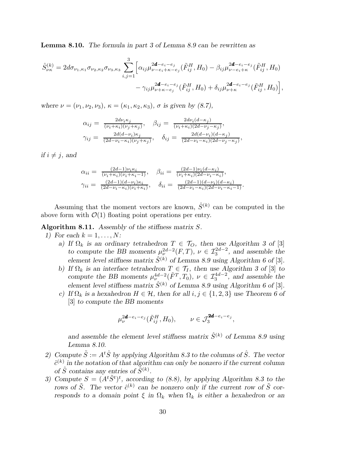Lemma 8.10. The formula in part 3 of Lemma 8.9 can be rewritten as

$$
\hat{S}_{\nu\kappa}^{(k)} = 2d\sigma_{\nu_1,\kappa_1}\sigma_{\nu_2,\kappa_2}\sigma_{\nu_3,\kappa_3} \sum_{i,j=1}^3 \Big[ \alpha_{ij}\mu_{\nu-e_i+\kappa-e_j}^{2d-e_i-e_j}(\tilde{F}_{ij}^H, H_0) - \beta_{ij}\mu_{\nu-e_i+\kappa}^{2d-e_i-e_j}(\tilde{F}_{ij}^H, H_0) \n- \gamma_{ij}\mu_{\nu+\kappa-e_j}^{2d-e_i-e_j}(\tilde{F}_{ij}^H, H_0) + \delta_{ij}\mu_{\nu+\kappa}^{2d-e_i-e_j}(\tilde{F}_{ij}^H, H_0) \Big],
$$

where  $\nu = (\nu_1, \nu_2, \nu_3), \kappa = (\kappa_1, \kappa_2, \kappa_3), \sigma$  is given by (8.7),

$$
\alpha_{ij} = \frac{2d\nu_i\kappa_j}{(\nu_i + \kappa_i)(\nu_j + \kappa_j)}, \quad \beta_{ij} = \frac{2d\nu_i(d - \kappa_j)}{(\nu_i + \kappa_i)(2d - \nu_j - \kappa_j)},
$$
  

$$
\gamma_{ij} = \frac{2d(d - \nu_i)\kappa_j}{(2d - \nu_i - \kappa_i)(\nu_j + \kappa_j)}, \quad \delta_{ij} = \frac{2d(d - \nu_i)(d - \kappa_j)}{(2d - \nu_i - \kappa_i)(2d - \nu_j - \kappa_j)},
$$

if  $i \neq j$ , and

$$
\alpha_{ii} = \frac{(2d-1)\nu_i \kappa_i}{(\nu_i + \kappa_i)(\nu_i + \kappa_i - 1)}, \quad \beta_{ii} = \frac{(2d-1)\nu_i(d-\kappa_i)}{(\nu_i + \kappa_i)(2d-\nu_i - \kappa_i)},
$$
  
\n
$$
\gamma_{ii} = \frac{(2d-1)(d-\nu_i)\kappa_i}{(2d-\nu_i - \kappa_i)(\nu_i + \kappa_i)}, \quad \delta_{ii} = \frac{(2d-1)(d-\nu_i)(d-\kappa_i)}{(2d-\nu_i - \kappa_i)(2d-\nu_i - \kappa_i - 1)}.
$$

Assuming that the moment vectors are known,  $\hat{S}^{(k)}$  can be computed in the above form with  $\mathcal{O}(1)$  floating point operations per entry.

Algorithm 8.11. Assembly of the stiffness matrix S.

- 1) For each  $k = 1, \ldots, N$ :
	- a) If  $\Omega_k$  is an ordinary tetrahedron  $T \in \mathcal{T}_O$ , then use Algorithm 3 of [3] to compute the BB moments  $\mu_{\nu}^{2d-2}(F,T)$ ,  $\nu \in \mathcal{I}_{3}^{2d-2}$ , and assemble the element level stiffness matrix  $\hat{S}^{(k)}$  of Lemma 8.9 using Algorithm 6 of [3].
	- b) If  $\Omega_k$  is an interface tetrahedron  $T \in \mathcal{T}_I$ , then use Algorithm 3 of [3] to compute the BB moments  $\mu_{\nu}^{4d-2}(\tilde{F}^T, T_0), \nu \in \mathcal{I}_{3}^{4d-2}$ , and assemble the element level stiffness matrix  $\hat{S}^{(k)}$  of Lemma 8.9 using Algorithm 6 of [3].
	- c) If  $\Omega_k$  is a hexahedron  $H \in \mathcal{H}$ , then for all  $i, j \in \{1, 2, 3\}$  use Theorem 6 of [3] to compute the BB moments

$$
\mu_{\nu}^{2\mathbf{d}-e_i-e_j}(\tilde{F}_{ij}^H, H_0), \qquad \nu \in \mathcal{J}_3^{2\mathbf{d}-e_i-e_j},
$$

and assemble the element level stiffness matrix  $\hat{S}^{(k)}$  of Lemma 8.9 using Lemma 8.10.

- 2) Compute  $\tilde{S} := A^t \hat{S}$  by applying Algorithm 8.3 to the columns of  $\hat{S}$ . The vector  $\hat{c}^{(k)}$  in the notation of that algorithm can only be nonzero if the current column of  $\hat{S}$  contains any entries of  $\tilde{S}^{(k)}$ .
- 3) Compute  $S = (A^t \tilde{S}^t)^t$ , according to (8.8), by applying Algorithm 8.3 to the rows of  $\tilde{S}$ . The vector  $\hat{c}^{(k)}$  can be nonzero only if the current row of  $\tilde{S}$  corresponds to a domain point  $\xi$  in  $\Omega_k$  when  $\Omega_k$  is either a hexahedron or an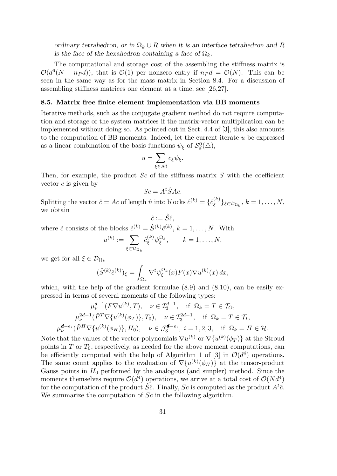ordinary tetrahedron, or in  $\Omega_k \cup R$  when it is an interface tetrahedron and R is the face of the hexahedron containing a face of  $\Omega_k$ .

The computational and storage cost of the assembling the stiffness matrix is  $\mathcal{O}(d^6(N+n_P d))$ , that is  $\mathcal{O}(1)$  per nonzero entry if  $n_P d = \mathcal{O}(N)$ . This can be seen in the same way as for the mass matrix in Section 8.4. For a discussion of assembling stiffness matrices one element at a time, see [26,27].

# 8.5. Matrix free finite element implementation via BB moments

Iterative methods, such as the conjugate gradient method do not require computation and storage of the system matrices if the matrix-vector multiplication can be implemented without doing so. As pointed out in Sect. 4.4 of [3], this also amounts to the computation of BB moments. Indeed, let the current iterate u be expressed as a linear combination of the basis functions  $\psi_{\xi}$  of  $\mathcal{S}_d^0(\triangle)$ ,

$$
u=\sum_{\xi\in\mathcal{M}}c_{\xi}\psi_{\xi}.
$$

Then, for example, the product  $Sc$  of the stiffness matrix  $S$  with the coefficient vector  $c$  is given by

$$
Sc = A^t \hat{S} Ac.
$$

Splitting the vector  $\hat{c} = Ac$  of length  $\hat{n}$  into blocks  $\hat{c}^{(k)} = \{\hat{c}_{\epsilon}^{(k)}\}$  $\{\xi^{(k)}\}_{\xi \in \mathcal{D}_{\Omega_k}}, k = 1, \ldots, N,$ we obtain

$$
\tilde{c}:=\hat{S}\hat{c},
$$

where  $\tilde{c}$  consists of the blocks  $\tilde{c}^{(k)} = \hat{S}^{(k)} \hat{c}^{(k)}$ ,  $k = 1, ..., N$ . With

$$
u^{(k)} := \sum_{\xi \in \mathcal{D}_{\Omega_k}} \hat{c}_{\xi}^{(k)} \psi_{\xi}^{\Omega_k}, \qquad k = 1, \dots, N,
$$

we get for all  $\xi \in \mathcal{D}_{\Omega_k}$ 

$$
(\hat{S}^{(k)}\hat{c}^{(k)})_{\xi} = \int_{\Omega_k} \nabla^t \psi_{\xi}^{\Omega_k}(x) F(x) \nabla u^{(k)}(x) \, dx,
$$

which, with the help of the gradient formulae  $(8.9)$  and  $(8.10)$ , can be easily expressed in terms of several moments of the following types:

$$
\mu_{\nu}^{d-1}(F\nabla u^{(k)}, T), \quad \nu \in \mathcal{I}_3^{d-1}, \quad \text{if } \Omega_k = T \in \mathcal{T}_O,
$$
  

$$
\mu_{\nu}^{2d-1}(\tilde{F}^T \nabla \{u^{(k)}(\phi_T)\}, T_0), \quad \nu \in \mathcal{I}_3^{2d-1}, \quad \text{if } \Omega_k = T \in \mathcal{T}_I,
$$
  

$$
\mu_{\nu}^{\mathbf{d}-e_i}(\tilde{F}^H \nabla \{u^{(k)}(\phi_H)\}, H_0), \quad \nu \in \mathcal{J}_3^{\mathbf{d}-e_i}, \quad i = 1, 2, 3, \quad \text{if } \Omega_k = H \in \mathcal{H}.
$$

Note that the values of the vector-polynomials  $\nabla u^{(k)}$  or  $\nabla \{u^{(k)}(\phi_T)\}$  at the Stroud points in  $T$  or  $T_0$ , respectively, as needed for the above moment computations, can be efficiently computed with the help of Algorithm 1 of [3] in  $\mathcal{O}(d^4)$  operations. The same count applies to the evaluation of  $\nabla \{u^{(k)}(\phi_H)\}\$  at the tensor-product Gauss points in  $H_0$  performed by the analogous (and simpler) method. Since the moments themselves require  $\mathcal{O}(d^4)$  operations, we arrive at a total cost of  $\mathcal{O}(Nd^4)$ for the computation of the product  $\hat{S}\hat{c}$ . Finally, Sc is computed as the product  $A^t\tilde{c}$ . We summarize the computation of Sc in the following algorithm.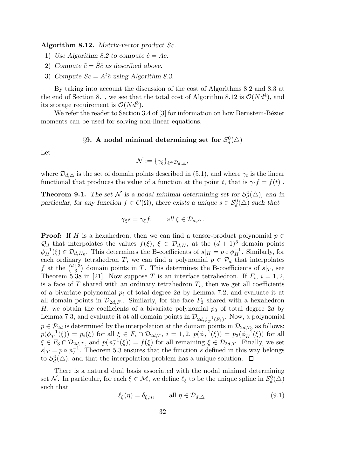Algorithm 8.12. Matrix-vector product Sc.

1) Use Algorithm 8.2 to compute  $\hat{c} = Ac$ .

- 2) Compute  $\tilde{c} = \hat{S}\hat{c}$  as described above.
- 3) Compute  $Sc = A<sup>t</sup> \tilde{c}$  using Algorithm 8.3.

By taking into account the discussion of the cost of Algorithms 8.2 and 8.3 at the end of Section 8.1, we see that the total cost of Algorithm 8.12 is  $\mathcal{O}(N d^4)$ , and its storage requirement is  $\mathcal{O}(Nd^3)$ .

We refer the reader to Section 3.4 of  $[3]$  for information on how Bernstein-Bézier moments can be used for solving non-linear equations.

# $\S 9.$  A nodal minimal determining set for  $\mathcal{S}_d^0(\triangle)$

Let

$$
\mathcal{N} := \{ \gamma_{\xi} \}_{\xi \in \mathcal{D}_{d, \triangle}},
$$

where  $\mathcal{D}_{d,\Delta}$  is the set of domain points described in (5.1), and where  $\gamma_t$  is the linear functional that produces the value of a function at the point t, that is  $\gamma_t f = f(t)$ .

**Theorem 9.1.** The set N is a nodal minimal determining set for  $S_d^0(\triangle)$ , and in particular, for any function  $f \in C(\Omega)$ , there exists a unique  $s \in S_d^0(\triangle)$  such that

$$
\gamma_{\xi} s = \gamma_{\xi} f, \qquad \text{all } \xi \in \mathcal{D}_{d,\triangle}.
$$

**Proof:** If H is a hexahedron, then we can find a tensor-product polynomial  $p \in$  $\mathcal{Q}_d$  that interpolates the values  $f(\xi)$ ,  $\xi \in \mathcal{D}_{d,H}$ , at the  $(d+1)^3$  domain points  $\phi_H^{-1}(\xi) \in \mathcal{D}_{d,H_0}$ . This determines the B-coefficients of  $s|_H = p \circ \phi_H^{-1}$ . Similarly, for each ordinary tetrahedron T, we can find a polynomial  $p \in \mathcal{P}_d$  that interpolates f at the  $\binom{d+3}{3}$  $\frac{1}{3}$  domain points in T. This determines the B-coefficients of  $s|_T$ , see Theorem 5.38 in [21]. Now suppose T is an interface tetrahedron. If  $F_i$ ,  $i = 1, 2$ , is a face of T shared with an ordinary tetrahedron  $T_i$ , then we get all coefficients of a bivariate polynomial  $p_i$  of total degree 2d by Lemma 7.2, and evaluate it at all domain points in  $\mathcal{D}_{2d,F_i}$ . Similarly, for the face  $F_3$  shared with a hexahedron H, we obtain the coefficients of a bivariate polynomial  $p_3$  of total degree 2d by Lemma 7.3, and evaluate it at all domain points in  $\mathcal{D}_{2d,\phi_T^{-1}(F_3)}$ . Now, a polynomial  $p \in \mathcal{P}_{2d}$  is determined by the interpolation at the domain points in  $\mathcal{D}_{2d,T_0}$  as follows:  $p(\phi_T^{-1}$  $T_T^{-1}(\xi) = p_i(\xi)$  for all  $\xi \in F_i \cap \mathcal{D}_{2d,T}, i = 1, 2, p(\phi_T^{-1})$  $T^{-1}(\xi)$  =  $p_3(\phi_H^{-1}(\xi))$  for all  $\xi \in F_3 \cap \mathcal{D}_{2d,T}$ , and  $p(\phi_T^{-1})$  $T^{(1)}(f(x)) = f(f(x))$  for all remaining  $f(x) \in \mathcal{D}_{2d,T}$ . Finally, we set  $s|_T = p \circ \phi_T^{-1}$  $T^1$ . Theorem 5.3 ensures that the function s defined in this way belongs to  $S_d^0(\triangle)$ , and that the interpolation problem has a unique solution.

There is a natural dual basis associated with the nodal minimal determining set N. In particular, for each  $\xi \in M$ , we define  $\ell_{\xi}$  to be the unique spline in  $\mathcal{S}_d^0(\triangle)$ such that

$$
\ell_{\xi}(\eta) = \delta_{\xi,\eta}, \qquad \text{all } \eta \in \mathcal{D}_{d,\triangle}.
$$
\n(9.1)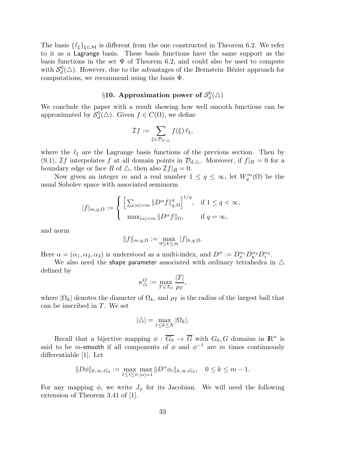The basis  $\{\ell_{\xi}\}_{\xi \in \mathcal{M}}$  is different from the one constructed in Theorem 6.2. We refer to it as a Lagrange basis. These basis functions have the same support as the basis functions in the set  $\Psi$  of Theorem 6.2, and could also be used to compute with  $\mathcal{S}_d^0(\triangle)$ . However, due to the advantages of the Bernstein–Bézier approach for computations, we recommend using the basis  $\Psi$ .

# $\S 10.$  Approximation power of  $\mathcal{S}_d^0(\triangle)$

We conclude the paper with a result showing how well smooth functions can be approximated by  $\mathcal{S}_d^0(\triangle)$ . Given  $f \in C(\Omega)$ , we define

$$
\mathcal{I}f:=\sum_{\xi\in\mathcal{D}_{d,\triangle}}f(\xi)\,\ell_{\xi},
$$

where the  $\ell_{\xi}$  are the Lagrange basis functions of the previous section. Then by (9.1), If interpolates f at all domain points in  $\mathcal{D}_{d,\Delta}$ . Moreover, if  $f|_R = 0$  for a boundary edge or face R of  $\triangle$ , then also  $\mathcal{I}f|_R = 0$ .

Now given an integer m and a real number  $1 \le q \le \infty$ , let  $W_q^m(\Omega)$  be the usual Sobolev space with associated seminorm

$$
|f|_{m,q,\Omega}:=\left\{\begin{array}{ll} \Big[\sum_{|\alpha|=m}\|D^\alpha f\|_{q,\Omega}^q\Big]^{1/q}, & \mbox{if } 1\leq q<\infty,\\[2mm] \max_{|\alpha|=m}\|D^\alpha f\|_\Omega, & \mbox{if } q=\infty,\end{array}\right.
$$

and norm

$$
||f||_{m,q,\Omega} := \max_{0 \le k \le m} |f|_{k,q,\Omega}.
$$

Here  $\alpha = (\alpha_1, \alpha_2, \alpha_3)$  is understood as a multi-index, and  $D^{\alpha} := D_x^{\alpha_1} D_y^{\alpha_2} D_z^{\alpha_3}$ .

We also need the shape parameter associated with ordinary tetrahedra in  $\triangle$ defined by

$$
\kappa_{\Delta}^O := \max_{T \in \mathcal{T}_O} \frac{|T|}{\rho_T},
$$

where  $|\Omega_k|$  denotes the diameter of  $\Omega_k$ , and  $\rho_T$  is the radius of the largest ball that can be inscribed in T. We set

$$
|\triangle| = \max_{1 \le k \le N} |\Omega_k|.
$$

Recall that a bijective mapping  $\phi : \overline{G_0} \to \overline{G}$  with  $G_0, G$  domains in  $\mathbb{R}^n$  is said to be *m*-smooth if all components of  $\phi$  and  $\phi^{-1}$  are *m* times continuously differentiable [1]. Let

$$
||D\phi||_{k,\infty,G_0} := \max_{1 \le i \le n} \max_{|\alpha|=1} ||D^{\alpha}\phi_i||_{k,\infty,G_0}, \quad 0 \le k \le m-1.
$$

For any mapping  $\phi$ , we write  $J_{\phi}$  for its Jacobian. We will need the following extension of Theorem 3.41 of [1].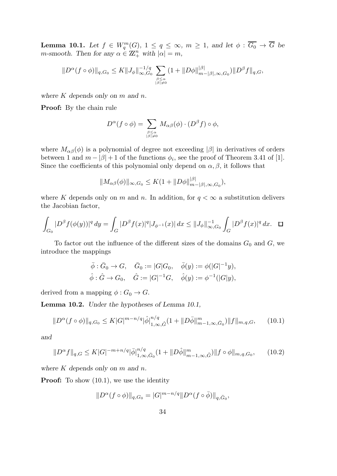**Lemma 10.1.** Let  $f \in W_q^m(G)$ ,  $1 \le q \le \infty$ ,  $m \ge 1$ , and let  $\phi : \overline{G_0} \to \overline{G}$  be *m*-smooth. Then for any  $\alpha \in \mathbb{Z}_+^n$  with  $|\alpha| = m$ ,

$$
||D^{\alpha}(f\circ\phi)||_{q,G_0} \leq K||J_{\phi}||_{\infty,G_0}^{-1/q} \sum_{\beta \leq \alpha \atop |\beta|\neq 0} (1+||D\phi||_{m-|\beta|, \infty,G_0}^{|\beta|})||D^{\beta}f||_{q,G},
$$

where  $K$  depends only on  $m$  and  $n$ .

Proof: By the chain rule

$$
D^{\alpha}(f \circ \phi) = \sum_{\substack{\beta \leq \alpha \\ |\beta| \neq 0}} M_{\alpha\beta}(\phi) \cdot (D^{\beta} f) \circ \phi,
$$

where  $M_{\alpha\beta}(\phi)$  is a polynomial of degree not exceeding  $|\beta|$  in derivatives of orders between 1 and  $m - |\beta| + 1$  of the functions  $\phi_i$ , see the proof of Theorem 3.41 of [1]. Since the coefficients of this polynomial only depend on  $\alpha$ ,  $\beta$ , it follows that

$$
||M_{\alpha\beta}(\phi)||_{\infty,G_0} \leq K(1+||D\phi||_{m-|\beta|,\infty,G_0}^{|\beta|}),
$$

where K depends only on m and n. In addition, for  $q < \infty$  a substitution delivers the Jacobian factor,

$$
\int_{G_0} |D^{\beta} f(\phi(y))|^q dy = \int_G |D^{\beta} f(x)|^q |J_{\phi^{-1}}(x)| dx \le ||J_{\phi}||_{\infty, G_0}^{-1} \int_G |D^{\beta} f(x)|^q dx. \quad \Box
$$

To factor out the influence of the different sizes of the domains  $G_0$  and  $G$ , we introduce the mappings

$$
\bar{\phi}: \bar{G}_0 \to G, \quad \bar{G}_0 := |G|G_0, \quad \bar{\phi}(y) := \phi(|G|^{-1}y),
$$
  
 $\hat{\phi}: \hat{G} \to G_0, \quad \hat{G} := |G|^{-1}G, \quad \hat{\phi}(y) := \phi^{-1}(|G|y),$ 

derived from a mapping  $\phi: G_0 \to G$ .

Lemma 10.2. Under the hypotheses of Lemma 10.1,

$$
||D^{\alpha}(f\circ\phi)||_{q,G_0} \leq K|G|^{m-n/q}|\hat{\phi}|_{1,\infty,\hat{G}}^{n/q}(1+||D\bar{\phi}||_{m-1,\infty,\bar{G}_0}^{m})||f||_{m,q,G},\qquad(10.1)
$$

and

$$
||D^{\alpha}f||_{q,G} \le K|G|^{-m+n/q}|\bar{\phi}|_{1,\infty,\bar{G}_0}^{n/q}(1+||D\hat{\phi}||_{m-1,\infty,\hat{G}}^m)||f\circ\phi||_{m,q,G_0},\qquad(10.2)
$$

where  $K$  depends only on  $m$  and  $n$ .

**Proof:** To show  $(10.1)$ , we use the identity

$$
||D^{\alpha}(f\circ\phi)||_{q,G_0}=|G|^{m-n/q}||D^{\alpha}(f\circ\overline{\phi})||_{q,\overline{G}_0},
$$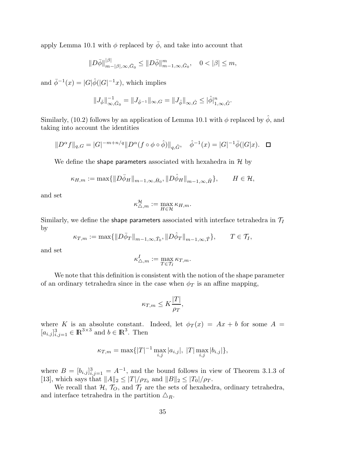apply Lemma 10.1 with  $\phi$  replaced by  $\bar{\phi}$ , and take into account that

$$
||D\bar{\phi}||_{m-|\beta|,\infty,\bar{G}_0}^{|\beta|} \leq ||D\bar{\phi}||_{m-1,\infty,\bar{G}_0}^m, \quad 0 < |\beta| \leq m,
$$

and  $\bar{\phi}^{-1}(x) = |G|\hat{\phi}(|G|^{-1}x)$ , which implies

$$
||J_{\bar{\phi}}||_{\infty,\bar{G}_0}^{-1} = ||J_{\bar{\phi}^{-1}}||_{\infty,G} = ||J_{\hat{\phi}}||_{\infty,\hat{G}} \leq |\hat{\phi}|_{1,\infty,\hat{G}}^n.
$$

Similarly, (10.2) follows by an application of Lemma 10.1 with  $\phi$  replaced by  $\hat{\phi}$ , and taking into account the identities

$$
||D^{\alpha}f||_{q,G} = |G|^{-m+n/q} ||D^{\alpha}(f \circ \phi \circ \hat{\phi})||_{q,\hat{G}}, \quad \hat{\phi}^{-1}(x) = |G|^{-1}\bar{\phi}(|G|x). \quad \Box
$$

We define the shape parameters associated with hexahedra in  $\mathcal H$  by

$$
\kappa_{H,m} := \max\{\|D\overline{\phi}_H\|_{m-1,\infty,\overline{H}_0}, \|D\hat{\phi}_H\|_{m-1,\infty,\hat{H}}\}, \qquad H \in \mathcal{H},
$$

and set

$$
\kappa^\mathcal{H}_{\triangle,m}:=\max_{H\in\mathcal{H}}\kappa_{H,m}.
$$

Similarly, we define the shape parameters associated with interface tetrahedra in  $\mathcal{T}_I$ by

$$
\kappa_{T,m} := \max\{\|D\overline{\phi}_T\|_{m-1,\infty,\overline{T}_0}, \|D\hat{\phi}_T\|_{m-1,\infty,\widehat{T}}\}, \qquad T \in \mathcal{T}_I,
$$

and set

$$
\kappa_{\triangle,m}^I:=\max_{T\in\mathcal{T}_I}\kappa_{T,m}.
$$

We note that this definition is consistent with the notion of the shape parameter of an ordinary tetrahedra since in the case when  $\phi_T$  is an affine mapping,

$$
\kappa_{T,m} \le K \frac{|T|}{\rho_T},
$$

where K is an absolute constant. Indeed, let  $\phi_T(x) = Ax + b$  for some  $A =$  $[a_{i,j}]_{i,j=1}^3 \in \mathbb{R}^{3 \times 3}$  and  $b \in \mathbb{R}^3$ . Then

$$
\kappa_{T,m} = \max\{|T|^{-1} \max_{i,j} |a_{i,j}|, |T| \max_{i,j} |b_{i,j}|\},\
$$

where  $B = [b_{i,j}]_{i,j=1}^3 = A^{-1}$ , and the bound follows in view of Theorem 3.1.3 of [13], which says that  $||A||_2 \leq |T|/\rho_{T_0}$  and  $||B||_2 \leq |T_0|/\rho_T$ .

We recall that  $H$ ,  $T_O$ , and  $T_I$  are the sets of hexahedra, ordinary tetrahedra, and interface tetrahedra in the partition  $\Delta_R$ .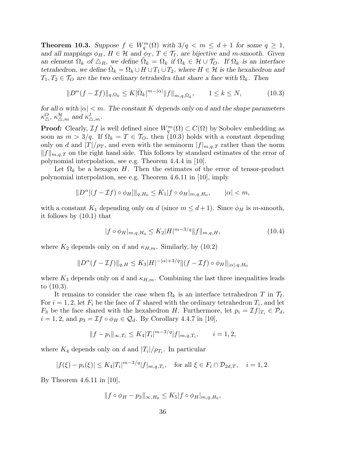**Theorem 10.3.** Suppose  $f \in W_q^m(\Omega)$  with  $3/q < m \leq d+1$  for some  $q \geq 1$ , and all mappings  $\phi_H$ ,  $H \in \mathcal{H}$  and  $\phi_T$ ,  $T \in \mathcal{T}_I$ , are bijective and m-smooth. Given an element  $\Omega_k$  of  $\Delta_R$ , we define  $\tilde{\Omega}_k = \Omega_k$  if  $\Omega_k \in \mathcal{H} \cup \mathcal{T}_O$ . If  $\Omega_k$  is an interface tetrahedron, we define  $\tilde{\Omega}_k = \Omega_k \cup H \cup T_1 \cup T_2$ , where  $H \in \mathcal{H}$  is the hexahedron and  $T_1, T_2 \in \mathcal{T}_O$  are the two ordinary tetrahedra that share a face with  $\Omega_k$ . Then

$$
||D^{\alpha}(f - \mathcal{I}f)||_{q, \Omega_k} \le K|\tilde{\Omega}_k|^{m - |\alpha|} ||f||_{m, q, \tilde{\Omega}_k}, \qquad 1 \le k \le N,
$$
\n(10.3)

for all  $\alpha$  with  $|\alpha| < m$ . The constant K depends only on d and the shape parameters  $\kappa_{\Delta}^{\overline{O}}, \, \kappa_{\Delta,m}^{\mathcal{H}}$  and  $\kappa_{\Delta,m}^{\overline{I}}$ .

**Proof:** Clearly,  $\mathcal{I}f$  is well defined since  $W_q^m(\Omega) \subset C(\Omega)$  by Sobolev embedding as soon as  $m > 3/q$ . If  $\Omega_k = T \in \mathcal{T}_0$ , then (10.3) holds with a constant depending only on d and  $|T|/p_T$ , and even with the seminorm  $|f|_{m,q,T}$  rather than the norm  $||f||_{m,q,T}$  on the right hand side. This follows by standard estimates of the error of polynomial interpolation, see e.g. Theorem 4.4.4 in [10].

Let  $\Omega_k$  be a hexagon H. Then the estimates of the error of tensor-product polynomial interpolation, see e.g. Theorem 4.6.11 in [10], imply

$$
||D^{\alpha}[(f-\mathcal{I}f)\circ\phi_H]||_{q,H_0} \leq K_1|f\circ\phi_H|_{m,q,H_0}, \qquad |\alpha| < m,
$$

with a constant  $K_1$  depending only on d (since  $m \leq d+1$ ). Since  $\phi_H$  is m-smooth, it follows by (10.1) that

$$
|f \circ \phi_H|_{m,q,H_0} \le K_2 |H|^{m-3/q} \|f\|_{m,q,H},\tag{10.4}
$$

where  $K_2$  depends only on d and  $\kappa_{H,m}$ . Similarly, by (10.2)

$$
||D^{\alpha}(f - \mathcal{I}f)||_{q,H} \leq K_3|H|^{-|\alpha|+3/q}||(f - \mathcal{I}f) \circ \phi_H||_{|\alpha|, q, H_0}
$$

where  $K_3$  depends only on d and  $\kappa_{H,m}$ . Combining the last three inequalities leads to (10.3).

It remains to consider the case when  $\Omega_k$  is an interface tetrahedron T in  $\mathcal{T}_I$ . For  $i = 1, 2$ , let  $F_i$  be the face of T shared with the ordinary tetrahedron  $T_i$ , and let  $F_3$  be the face shared with the hexahedron H. Furthermore, let  $p_i = \mathcal{I}f|_{T_i} \in \mathcal{P}_d$ ,  $i = 1, 2$ , and  $p_3 = \mathcal{I}f \circ \phi_H \in \mathcal{Q}_d$ . By Corollary 4.4.7 in [10],

$$
||f - p_i||_{\infty, T_i} \le K_4 |T_i|^{m-3/q} |f|_{m, q, T_i}, \qquad i = 1, 2,
$$

where  $K_4$  depends only on d and  $|T_i|/ \rho_{T_i}$ . In particular

$$
|f(\xi) - p_i(\xi)| \le K_4 |T_i|^{m-3/q} |f|_{m,q,T_i}, \quad \text{for all } \xi \in F_i \cap \mathcal{D}_{2d,T}, \quad i = 1,2.
$$

By Theorem 4.6.11 in [10],

$$
||f\circ\phi_H-p_3||_{\infty,H_0}\leq K_5|f\circ\phi_H|_{m,q,H_0},
$$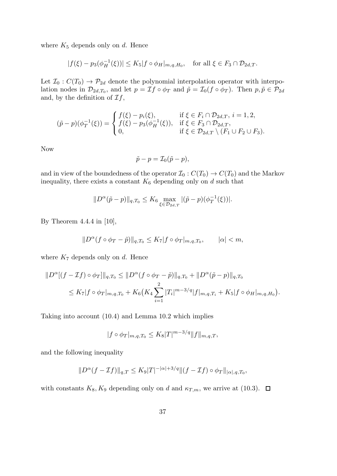where  $K_5$  depends only on d. Hence

$$
|f(\xi) - p_3(\phi_H^{-1}(\xi))| \le K_5 |f \circ \phi_H|_{m,q,H_0}, \text{ for all } \xi \in F_3 \cap \mathcal{D}_{2d,T}.
$$

Let  $\mathcal{I}_0 : C(T_0) \to \mathcal{P}_{2d}$  denote the polynomial interpolation operator with interpolation nodes in  $\mathcal{D}_{2d,T_0}$ , and let  $p = \mathcal{I}f \circ \phi_T$  and  $\tilde{p} = \mathcal{I}_0(f \circ \phi_T)$ . Then  $p, \tilde{p} \in \mathcal{P}_{2d}$ and, by the definition of  $\mathcal{I}f$ ,

$$
(\tilde{p} - p)(\phi_T^{-1}(\xi)) = \begin{cases} f(\xi) - p_i(\xi), & \text{if } \xi \in F_i \cap \mathcal{D}_{2d,T}, i = 1, 2, \\ f(\xi) - p_3(\phi_H^{-1}(\xi)), & \text{if } \xi \in F_3 \cap \mathcal{D}_{2d,T}, \\ 0, & \text{if } \xi \in \mathcal{D}_{2d,T} \setminus (F_1 \cup F_2 \cup F_3). \end{cases}
$$

Now

$$
\tilde{p} - p = \mathcal{I}_0(\tilde{p} - p),
$$

and in view of the boundedness of the operator  $\mathcal{I}_0 : C(T_0) \to C(T_0)$  and the Markov inequality, there exists a constant  $K_6$  depending only on d such that

$$
||D^{\alpha}(\tilde{p} - p)||_{q,T_0} \leq K_6 \max_{\xi \in \mathcal{D}_{2d,T}} |(\tilde{p} - p)(\phi_T^{-1}(\xi))|.
$$

By Theorem 4.4.4 in [10],

$$
||D^{\alpha}(f \circ \phi_T - \tilde{p})||_{q,T_0} \le K_7 |f \circ \phi_T|_{m,q,T_0}, \qquad |\alpha| < m,
$$

where  $K_7$  depends only on d. Hence

$$
||D^{\alpha}[(f - \mathcal{I}f) \circ \phi_T]||_{q,T_0} \le ||D^{\alpha}(f \circ \phi_T - \tilde{p})||_{q,T_0} + ||D^{\alpha}(\tilde{p} - p)||_{q,T_0}
$$
  

$$
\le K_7 |f \circ \phi_T|_{m,q,T_0} + K_6(K_4 \sum_{i=1}^2 |T_i|^{m-3/q} |f|_{m,q,T_i} + K_5 |f \circ \phi_H|_{m,q,H_0}).
$$

Taking into account (10.4) and Lemma 10.2 which implies

$$
|f \circ \phi_T|_{m,q,T_0} \le K_8 |T|^{m-3/q} \|f\|_{m,q,T},
$$

and the following inequality

$$
||D^{\alpha}(f-\mathcal{I}f)||_{q,T} \leq K_9|T|^{-|\alpha|+3/q}||(f-\mathcal{I}f)\circ\phi_T||_{|\alpha|,q,T_0},
$$

with constants  $K_8, K_9$  depending only on d and  $\kappa_{T,m}$ , we arrive at (10.3).  $\Box$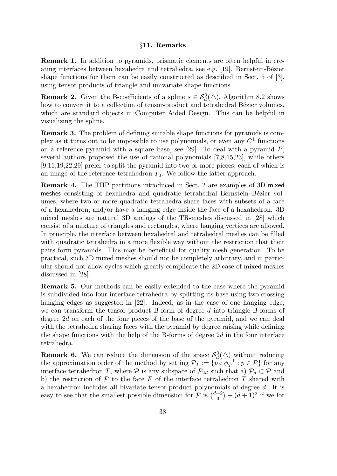# §11. Remarks

Remark 1. In addition to pyramids, prismatic elements are often helpful in creating interfaces between hexahedra and tetrahedra, see e.g.  $[19]$ . Bernstein-Bézier shape functions for them can be easily constructed as described in Sect. 5 of [3], using tensor products of triangle and univariate shape functions.

**Remark 2.** Given the B-coefficients of a spline  $s \in \mathcal{S}_d^0(\triangle)$ , Algorithm 8.2 shows how to convert it to a collection of tensor-product and tetrahedral Bézier volumes, which are standard objects in Computer Aided Design. This can be helpful in visualizing the spline.

Remark 3. The problem of defining suitable shape functions for pyramids is complex as it turns out to be impossible to use polynomials, or even any  $C^1$  functions on a reference pyramid with a square base, see [29]. To deal with a pyramid  $P$ , several authors proposed the use of rational polynomials [7,8,15,23], while others [9,11,19,22,29] prefer to split the pyramid into two or more pieces, each of which is an image of the reference tetrahedron  $T_0$ . We follow the latter approach.

Remark 4. The THP partitions introduced in Sect. 2 are examples of 3D mixed meshes consisting of hexahedra and quadratic tetrahedral Bernstein–Bézier volumes, where two or more quadratic tetrahedra share faces with subsets of a face of a hexahedron, and/or have a hanging edge inside the face of a hexahedron. 3D mixed meshes are natural 3D analogs of the TR-meshes discussed in [28] which consist of a mixture of triangles and rectangles, where hanging vertices are allowed. In principle, the interface between hexahedral and tetrahedral meshes can be filled with quadratic tetrahedra in a more flexible way without the restriction that their pairs form pyramids. This may be beneficial for quality mesh generation. To be practical, such 3D mixed meshes should not be completely arbitrary, and in particular should not allow cycles which greatly complicate the 2D case of mixed meshes discussed in [28].

Remark 5. Our methods can be easily extended to the case where the pyramid is subdivided into four interface tetrahedra by splitting its base using two crossing hanging edges as suggested in [22]. Indeed, as in the case of one hanging edge, we can transform the tensor-product B-form of degree d into triangle B-forms of degree 2d on each of the four pieces of the base of the pyramid, and we can deal with the tetrahedra sharing faces with the pyramid by degree raising while defining the shape functions with the help of the B-forms of degree  $2d$  in the four interface tetrahedra.

**Remark 6.** We can reduce the dimension of the space  $\mathcal{S}_d^0(\triangle)$  without reducing the approximation order of the method by setting  $\mathcal{P}_T := \{p \circ \phi_T^{-1}\}$  $\overline{T}^1 : p \in \mathcal{P}$  for any interface tetrahedron T, where P is any subspace of  $\mathcal{P}_{2d}$  such that a)  $\mathcal{P}_d \subset \mathcal{P}$  and b) the restriction of  $P$  to the face  $F$  of the interface tetrahedron  $T$  shared with a hexahedron includes all bivariate tensor-product polynomials of degree d. It is easy to see that the smallest possible dimension for  $\mathcal{P}$  is  $\binom{d+2}{3}$  $\binom{+2}{3} + (d+1)^2$  if we for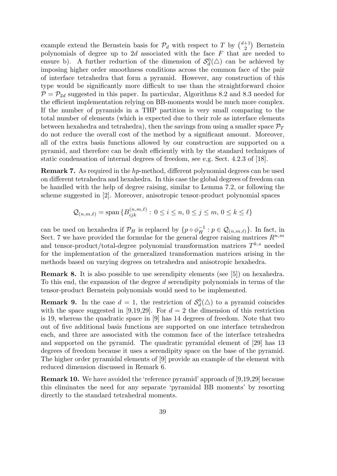example extend the Bernstein basis for  $\mathcal{P}_d$  with respect to T by  $\binom{d+1}{2}$  $\binom{+1}{2}$  Bernstein polynomials of degree up to  $2d$  associated with the face  $F$  that are needed to ensure b). A further reduction of the dimension of  $\mathcal{S}_d^0(\triangle)$  can be achieved by imposing higher order smoothness conditions across the common face of the pair of interface tetrahedra that form a pyramid. However, any construction of this type would be significantly more difficult to use than the straightforward choice  $P = P_{2d}$  suggested in this paper. In particular, Algorithms 8.2 and 8.3 needed for the efficient implementation relying on BB-moments would be much more complex. If the number of pyramids in a THP partition is very small comparing to the total number of elements (which is expected due to their role as interface elements between hexahedra and tetrahedra), then the savings from using a smaller space  $\mathcal{P}_T$ do not reduce the overall cost of the method by a significant amount. Moreover, all of the extra basis functions allowed by our construction are supported on a pyramid, and therefore can be dealt efficiently with by the standard techniques of static condensation of internal degrees of freedom, see e.g. Sect. 4.2.3 of [18].

Remark 7. As required in the hp-method, different polynomial degrees can be used on different tetrahedra and hexahedra. In this case the global degrees of freedom can be handled with the help of degree raising, similar to Lemma 7.2, or following the scheme suggested in [2]. Moreover, anisotropic tensor-product polynomial spaces

$$
Q_{(n,m,\ell)} = \text{span} \{B_{ijk}^{(n,m,\ell)} : 0 \le i \le n, 0 \le j \le m, 0 \le k \le \ell\}
$$

can be used on hexahedra if  $\mathcal{P}_H$  is replaced by  $\{p \circ \phi_H^{-1} : p \in \mathcal{Q}_{(n,m,\ell)}\}$ . In fact, in Sect. 7 we have provided the formulae for the general degree raising matrices  $R^{n,m}$ and tensor-product/total-degree polynomial transformation matrices  $T^{k,s}$  needed for the implementation of the generalized transformation matrices arising in the methods based on varying degrees on tetrahedra and anisotropic hexahedra.

Remark 8. It is also possible to use serendipity elements (see [5]) on hexahedra. To this end, the expansion of the degree d serendipity polynomials in terms of the tensor-product Bernstein polynomials would need to be implemented.

**Remark 9.** In the case  $d = 1$ , the restriction of  $\mathcal{S}_d^0(\triangle)$  to a pyramid coincides with the space suggested in [9,19,29]. For  $d = 2$  the dimension of this restriction is 19, whereas the quadratic space in [9] has 14 degrees of freedom. Note that two out of five additional basis functions are supported on one interface tetrahedron each, and three are associated with the common face of the interface tetrahedra and supported on the pyramid. The quadratic pyramidal element of [29] has 13 degrees of freedom because it uses a serendipity space on the base of the pyramid. The higher order pyramidal elements of [9] provide an example of the element with reduced dimension discussed in Remark 6.

Remark 10. We have avoided the 'reference pyramid' approach of [9,19,29] because this eliminates the need for any separate 'pyramidal BB moments' by resorting directly to the standard tetrahedral moments.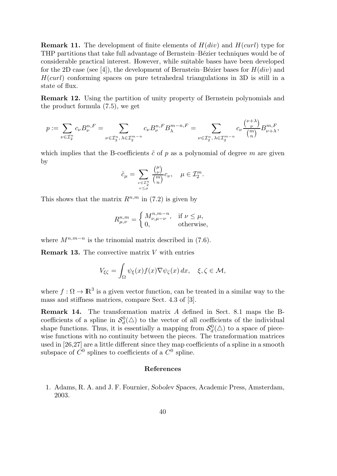**Remark 11.** The development of finite elements of  $H(div)$  and  $H(curl)$  type for THP partitions that take full advantage of Bernstein–Bézier techniques would be of considerable practical interest. However, while suitable bases have been developed for the 2D case (see [4]), the development of Bernstein–Bézier bases for  $H(div)$  and  $H(curl)$  conforming spaces on pure tetrahedral triangulations in 3D is still in a state of flux.

Remark 12. Using the partition of unity property of Bernstein polynomials and the product formula (7.5), we get

$$
p := \sum_{\nu \in \mathcal{I}_2^n} c_{\nu} B_{\nu}^{n,F} = \sum_{\nu \in \mathcal{I}_2^n, \lambda \in \mathcal{I}_2^{m-n}} c_{\nu} B_{\nu}^{n,F} B_{\lambda}^{m-n,F} = \sum_{\nu \in \mathcal{I}_2^n, \lambda \in \mathcal{I}_2^{m-n}} c_{\nu} \frac{\binom{\nu + \lambda}{\nu}}{\binom{m}{n}} B_{\nu + \lambda}^{m,F},
$$

which implies that the B-coefficients  $\tilde{c}$  of p as a polynomial of degree m are given by

$$
\tilde{c}_{\mu} = \sum_{\substack{\nu \in \mathcal{I}_2^n \\ \nu \leq \mu}} \frac{{\mu \choose \nu}}{{m \choose n}} c_{\nu}, \quad \mu \in \mathcal{I}_2^m.
$$

This shows that the matrix  $R^{n,m}$  in (7.2) is given by

$$
R_{\mu,\nu}^{n,m} = \begin{cases} M_{\nu,\mu-\nu}^{n,m-n}, & \text{if } \nu \le \mu, \\ 0, & \text{otherwise,} \end{cases}
$$

where  $M^{n,m-n}$  is the trinomial matrix described in (7.6).

**Remark 13.** The convective matrix  $V$  with entries

$$
V_{\xi\zeta} = \int_{\Omega} \psi_{\xi}(x) f(x) \nabla \psi_{\zeta}(x) dx, \quad \xi, \zeta \in \mathcal{M},
$$

where  $f: \Omega \to \mathbb{R}^3$  is a given vector function, can be treated in a similar way to the mass and stiffness matrices, compare Sect. 4.3 of [3].

Remark 14. The transformation matrix A defined in Sect. 8.1 maps the Bcoefficients of a spline in  $\mathcal{S}_d^0(\triangle)$  to the vector of all coefficients of the individual shape functions. Thus, it is essentially a mapping from  $\mathcal{S}_d^0(\triangle)$  to a space of piecewise functions with no continuity between the pieces. The transformation matrices used in [26,27] are a little different since they map coefficients of a spline in a smooth subspace of  $C^0$  splines to coefficients of a  $C^0$  spline.

# References

1. Adams, R. A. and J. F. Fournier, Sobolev Spaces, Academic Press, Amsterdam, 2003.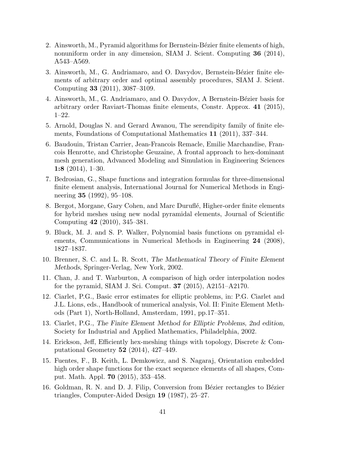- 2. Ainsworth, M., Pyramid algorithms for Bernstein-Bézier finite elements of high, nonuniform order in any dimension, SIAM J. Scient. Computing 36 (2014), A543–A569.
- 3. Ainsworth, M., G. Andriamaro, and O. Davydov, Bernstein-Bézier finite elements of arbitrary order and optimal assembly procedures, SIAM J. Scient. Computing 33 (2011), 3087–3109.
- 4. Ainsworth, M., G. Andriamaro, and O. Davydov, A Bernstein-Bézier basis for arbitrary order Raviart-Thomas finite elements, Constr. Approx. 41 (2015), 1–22.
- 5. Arnold, Douglas N. and Gerard Awanou, The serendipity family of finite elements, Foundations of Computational Mathematics 11 (2011), 337–344.
- 6. Baudouin, Tristan Carrier, Jean-Francois Remacle, Emilie Marchandise, Francois Henrotte, and Christophe Geuzaine, A frontal approach to hex-dominant mesh generation, Advanced Modeling and Simulation in Engineering Sciences 1:8  $(2014)$ , 1-30.
- 7. Bedrosian, G., Shape functions and integration formulas for three-dimensional finite element analysis, International Journal for Numerical Methods in Engineering 35 (1992), 95–108.
- 8. Bergot, Morgane, Gary Cohen, and Marc Duruflé, Higher-order finite elements for hybrid meshes using new nodal pyramidal elements, Journal of Scientific Computing 42 (2010), 345–381.
- 9. Bluck, M. J. and S. P. Walker, Polynomial basis functions on pyramidal elements, Communications in Numerical Methods in Engineering 24 (2008), 1827–1837.
- 10. Brenner, S. C. and L. R. Scott, The Mathematical Theory of Finite Element Methods, Springer-Verlag, New York, 2002.
- 11. Chan, J. and T. Warburton, A comparison of high order interpolation nodes for the pyramid, SIAM J. Sci. Comput. 37 (2015), A2151–A2170.
- 12. Ciarlet, P.G., Basic error estimates for elliptic problems, in: P.G. Ciarlet and J.L. Lions, eds., Handbook of numerical analysis, Vol. II: Finite Element Methods (Part 1), North-Holland, Amsterdam, 1991, pp.17–351.
- 13. Ciarlet, P.G., The Finite Element Method for Elliptic Problems, 2nd edition, Society for Industrial and Applied Mathematics, Philadelphia, 2002.
- 14. Erickson, Jeff, Efficiently hex-meshing things with topology, Discrete & Computational Geometry 52 (2014), 427–449.
- 15. Fuentes, F., B. Keith, L. Demkowicz, and S. Nagaraj, Orientation embedded high order shape functions for the exact sequence elements of all shapes, Comput. Math. Appl. 70 (2015), 353–458.
- 16. Goldman, R. N. and D. J. Filip, Conversion from Bézier rectangles to Bézier triangles, Computer-Aided Design 19 (1987), 25–27.